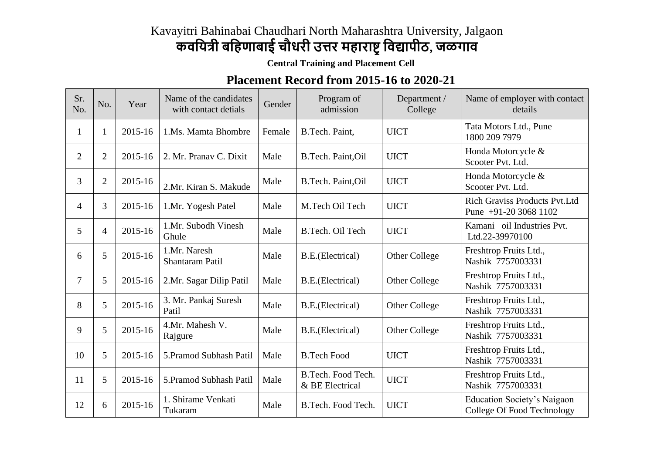## Kavayitri Bahinabai Chaudhari North Maharashtra University, Jalgaon

## **कवयित्री बयिणाबाई चौधरी उत्तर मिाराष्ट्रयवद्यापीठ, जळगाव**

**Central Training and Placement Cell**

## **Placement Record from 2015-16 to 2020-21**

| Sr.<br>No.     | No.            | Year    | Name of the candidates<br>with contact detials | Gender | Program of<br>admission               | Department /<br>College | Name of employer with contact<br>details                         |
|----------------|----------------|---------|------------------------------------------------|--------|---------------------------------------|-------------------------|------------------------------------------------------------------|
| 1              |                | 2015-16 | 1.Ms. Mamta Bhombre                            | Female | B.Tech. Paint,                        | <b>UICT</b>             | Tata Motors Ltd., Pune<br>1800 209 7979                          |
| $\overline{2}$ | $\overline{2}$ | 2015-16 | 2. Mr. Pranav C. Dixit                         | Male   | B.Tech. Paint, Oil                    | <b>UICT</b>             | Honda Motorcycle &<br>Scooter Pvt. Ltd.                          |
| 3              | $\overline{2}$ | 2015-16 | 2.Mr. Kiran S. Makude                          | Male   | B.Tech. Paint, Oil                    | <b>UICT</b>             | Honda Motorcycle &<br>Scooter Pvt. Ltd.                          |
| 4              | 3              | 2015-16 | 1.Mr. Yogesh Patel                             | Male   | M.Tech Oil Tech                       | <b>UICT</b>             | <b>Rich Graviss Products Pvt.Ltd</b><br>Pune $+91-2030681102$    |
| 5              | 4              | 2015-16 | 1.Mr. Subodh Vinesh<br>Ghule                   | Male   | B.Tech. Oil Tech                      | <b>UICT</b>             | Kamani oil Industries Pvt.<br>Ltd.22-39970100                    |
| 6              | 5              | 2015-16 | 1.Mr. Naresh<br>Shantaram Patil                | Male   | B.E.(Electrical)                      | Other College           | Freshtrop Fruits Ltd.,<br>Nashik 7757003331                      |
| $\tau$         | 5              | 2015-16 | 2.Mr. Sagar Dilip Patil                        | Male   | B.E.(Electrical)                      | Other College           | Freshtrop Fruits Ltd.,<br>Nashik 7757003331                      |
| 8              | 5              | 2015-16 | 3. Mr. Pankaj Suresh<br>Patil                  | Male   | B.E.(Electrical)                      | Other College           | Freshtrop Fruits Ltd.,<br>Nashik 7757003331                      |
| 9              | 5              | 2015-16 | 4.Mr. Mahesh V.<br>Rajgure                     | Male   | B.E.(Electrical)                      | Other College           | Freshtrop Fruits Ltd.,<br>Nashik 7757003331                      |
| 10             | 5              | 2015-16 | 5. Pramod Subhash Patil                        | Male   | <b>B.Tech Food</b>                    | <b>UICT</b>             | Freshtrop Fruits Ltd.,<br>Nashik 7757003331                      |
| 11             | 5              | 2015-16 | 5. Pramod Subhash Patil                        | Male   | B.Tech. Food Tech.<br>& BE Electrical | <b>UICT</b>             | Freshtrop Fruits Ltd.,<br>Nashik 7757003331                      |
| 12             | 6              | 2015-16 | 1. Shirame Venkati<br>Tukaram                  | Male   | B.Tech. Food Tech.                    | <b>UICT</b>             | <b>Education Society's Naigaon</b><br>College Of Food Technology |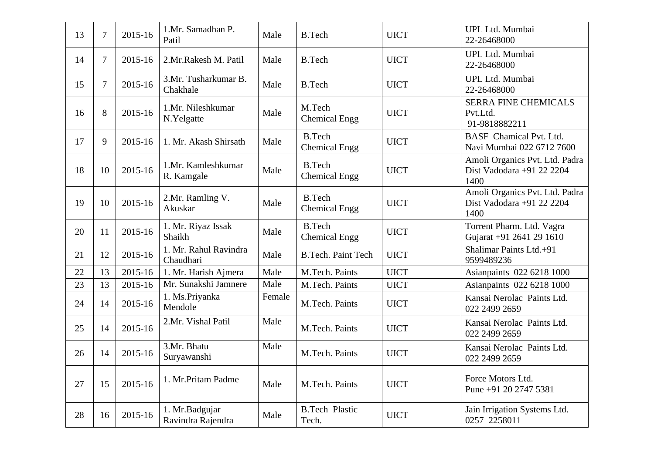| 13 | 7              | 2015-16 | 1.Mr. Samadhan P.<br>Patil          | Male   | <b>B.Tech</b>                         | <b>UICT</b> | UPL Ltd. Mumbai<br>22-26468000                                      |
|----|----------------|---------|-------------------------------------|--------|---------------------------------------|-------------|---------------------------------------------------------------------|
| 14 | $\overline{7}$ | 2015-16 | 2.Mr.Rakesh M. Patil                | Male   | <b>B.Tech</b>                         | <b>UICT</b> | UPL Ltd. Mumbai<br>22-26468000                                      |
| 15 | $\overline{7}$ | 2015-16 | 3.Mr. Tusharkumar B.<br>Chakhale    | Male   | <b>B.Tech</b>                         | <b>UICT</b> | UPL Ltd. Mumbai<br>22-26468000                                      |
| 16 | 8              | 2015-16 | 1.Mr. Nileshkumar<br>N.Yelgatte     | Male   | M.Tech<br><b>Chemical Engg</b>        | <b>UICT</b> | <b>SERRA FINE CHEMICALS</b><br>Pvt.Ltd.<br>91-9818882211            |
| 17 | 9              | 2015-16 | 1. Mr. Akash Shirsath               | Male   | <b>B.Tech</b><br><b>Chemical Engg</b> | <b>UICT</b> | <b>BASF</b> Chamical Pvt. Ltd.<br>Navi Mumbai 022 6712 7600         |
| 18 | 10             | 2015-16 | 1.Mr. Kamleshkumar<br>R. Kamgale    | Male   | <b>B.Tech</b><br><b>Chemical Engg</b> | <b>UICT</b> | Amoli Organics Pvt. Ltd. Padra<br>Dist Vadodara +91 22 2204<br>1400 |
| 19 | 10             | 2015-16 | 2.Mr. Ramling V.<br>Akuskar         | Male   | <b>B.Tech</b><br><b>Chemical Engg</b> | <b>UICT</b> | Amoli Organics Pvt. Ltd. Padra<br>Dist Vadodara +91 22 2204<br>1400 |
| 20 | 11             | 2015-16 | 1. Mr. Riyaz Issak<br>Shaikh        | Male   | <b>B.Tech</b><br><b>Chemical Engg</b> | <b>UICT</b> | Torrent Pharm. Ltd. Vagra<br>Gujarat +91 2641 29 1610               |
| 21 | 12             | 2015-16 | 1. Mr. Rahul Ravindra<br>Chaudhari  | Male   | <b>B.Tech. Paint Tech</b>             | <b>UICT</b> | Shalimar Paints Ltd.+91<br>9599489236                               |
| 22 | 13             | 2015-16 | 1. Mr. Harish Ajmera                | Male   | M.Tech. Paints                        | <b>UICT</b> | Asianpaints 022 6218 1000                                           |
| 23 | 13             | 2015-16 | Mr. Sunakshi Jamnere                | Male   | M.Tech. Paints                        | <b>UICT</b> | Asianpaints 022 6218 1000                                           |
| 24 | 14             | 2015-16 | 1. Ms.Priyanka<br>Mendole           | Female | M.Tech. Paints                        | <b>UICT</b> | Kansai Nerolac Paints Ltd.<br>022 2499 2659                         |
| 25 | 14             | 2015-16 | 2.Mr. Vishal Patil                  | Male   | M.Tech. Paints                        | <b>UICT</b> | Kansai Nerolac Paints Ltd.<br>022 2499 2659                         |
| 26 | 14             | 2015-16 | 3.Mr. Bhatu<br>Suryawanshi          | Male   | M.Tech. Paints                        | <b>UICT</b> | Kansai Nerolac Paints Ltd.<br>022 2499 2659                         |
| 27 | 15             | 2015-16 | 1. Mr.Pritam Padme                  | Male   | M.Tech. Paints                        | <b>UICT</b> | Force Motors Ltd.<br>Pune +91 20 2747 5381                          |
| 28 | 16             | 2015-16 | 1. Mr.Badgujar<br>Ravindra Rajendra | Male   | <b>B.Tech Plastic</b><br>Tech.        | <b>UICT</b> | Jain Irrigation Systems Ltd.<br>0257 2258011                        |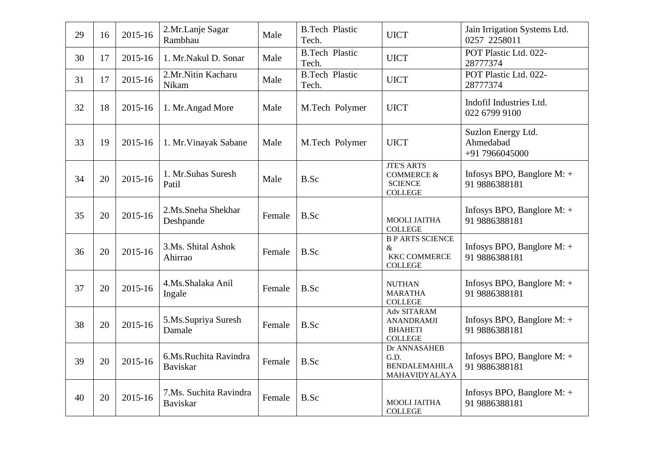| 29 | 16 | 2015-16 | 2.Mr.Lanje Sagar<br>Rambhau              | Male   | <b>B.Tech Plastic</b><br>Tech. | <b>UICT</b>                                                                    | Jain Irrigation Systems Ltd.<br>0257 2258011      |
|----|----|---------|------------------------------------------|--------|--------------------------------|--------------------------------------------------------------------------------|---------------------------------------------------|
| 30 | 17 | 2015-16 | 1. Mr.Nakul D. Sonar                     | Male   | <b>B.Tech Plastic</b><br>Tech. | <b>UICT</b>                                                                    | POT Plastic Ltd. 022-<br>28777374                 |
| 31 | 17 | 2015-16 | 2.Mr.Nitin Kacharu<br>Nikam              | Male   | <b>B.Tech Plastic</b><br>Tech. | <b>UICT</b>                                                                    | POT Plastic Ltd. 022-<br>28777374                 |
| 32 | 18 | 2015-16 | 1. Mr. Angad More                        | Male   | M.Tech Polymer                 | <b>UICT</b>                                                                    | Indofil Industries Ltd.<br>022 6799 9100          |
| 33 | 19 | 2015-16 | 1. Mr. Vinayak Sabane                    | Male   | M.Tech Polymer                 | <b>UICT</b>                                                                    | Suzlon Energy Ltd.<br>Ahmedabad<br>+91 7966045000 |
| 34 | 20 | 2015-16 | 1. Mr.Suhas Suresh<br>Patil              | Male   | <b>B.Sc</b>                    | <b>JTE'S ARTS</b><br><b>COMMERCE &amp;</b><br><b>SCIENCE</b><br><b>COLLEGE</b> | Infosys BPO, Banglore $M$ : +<br>91 9886388181    |
| 35 | 20 | 2015-16 | 2.Ms.Sneha Shekhar<br>Deshpande          | Female | B.Sc                           | <b>MOOLI JAITHA</b><br><b>COLLEGE</b>                                          | Infosys BPO, Banglore $M$ : +<br>91 9886388181    |
| 36 | 20 | 2015-16 | 3.Ms. Shital Ashok<br>Ahirrao            | Female | B.Sc                           | <b>B P ARTS SCIENCE</b><br>&<br><b>KKC COMMERCE</b><br><b>COLLEGE</b>          | Infosys BPO, Banglore $M$ : +<br>91 9886388181    |
| 37 | 20 | 2015-16 | 4.Ms.Shalaka Anil<br>Ingale              | Female | B.Sc                           | <b>NUTHAN</b><br><b>MARATHA</b><br><b>COLLEGE</b>                              | Infosys BPO, Banglore $M$ : +<br>91 9886388181    |
| 38 | 20 | 2015-16 | 5.Ms.Supriya Suresh<br>Damale            | Female | B.Sc                           | Adv SITARAM<br><b>ANANDRAMJI</b><br><b>BHAHETI</b><br><b>COLLEGE</b>           | Infosys BPO, Banglore $M$ : +<br>91 9886388181    |
| 39 | 20 | 2015-16 | 6.Ms.Ruchita Ravindra<br><b>Baviskar</b> | Female | B.Sc                           | Dr ANNASAHEB<br>G.D.<br><b>BENDALEMAHILA</b><br>MAHAVIDYALAYA                  | Infosys BPO, Banglore M: +<br>91 9886388181       |
| 40 | 20 | 2015-16 | 7.Ms. Suchita Ravindra<br>Baviskar       | Female | B.Sc                           | <b>MOOLI JAITHA</b><br><b>COLLEGE</b>                                          | Infosys BPO, Banglore M: +<br>91 9886388181       |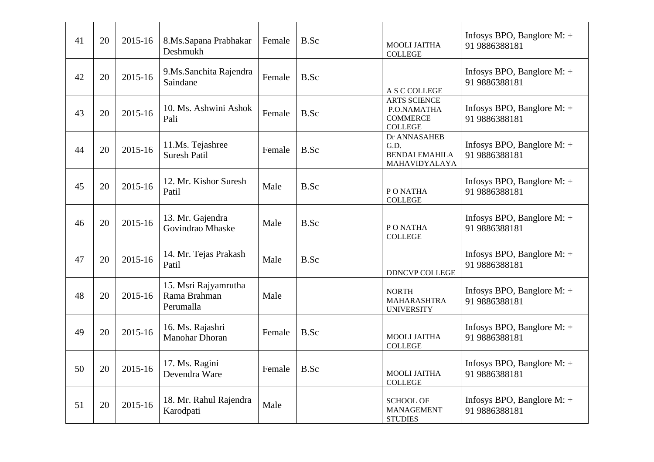| 41 | 20 | 2015-16 | 8.Ms.Sapana Prabhakar<br>Deshmukh                 | Female | B.Sc | <b>MOOLI JAITHA</b><br><b>COLLEGE</b>                                   | Infosys BPO, Banglore $M$ : +<br>91 9886388181 |
|----|----|---------|---------------------------------------------------|--------|------|-------------------------------------------------------------------------|------------------------------------------------|
| 42 | 20 | 2015-16 | 9. Ms. Sanchita Rajendra<br>Saindane              | Female | B.Sc | A S C COLLEGE                                                           | Infosys BPO, Banglore $M$ : +<br>91 9886388181 |
| 43 | 20 | 2015-16 | 10. Ms. Ashwini Ashok<br>Pali                     | Female | B.Sc | <b>ARTS SCIENCE</b><br>P.O.NAMATHA<br><b>COMMERCE</b><br><b>COLLEGE</b> | Infosys BPO, Banglore $M$ : +<br>91 9886388181 |
| 44 | 20 | 2015-16 | 11.Ms. Tejashree<br><b>Suresh Patil</b>           | Female | B.Sc | Dr ANNASAHEB<br>G.D.<br><b>BENDALEMAHILA</b><br>MAHAVIDYALAYA           | Infosys BPO, Banglore M: +<br>91 9886388181    |
| 45 | 20 | 2015-16 | 12. Mr. Kishor Suresh<br>Patil                    | Male   | B.Sc | PONATHA<br><b>COLLEGE</b>                                               | Infosys BPO, Banglore $M$ : +<br>91 9886388181 |
| 46 | 20 | 2015-16 | 13. Mr. Gajendra<br>Govindrao Mhaske              | Male   | B.Sc | PONATHA<br><b>COLLEGE</b>                                               | Infosys BPO, Banglore $M$ : +<br>91 9886388181 |
| 47 | 20 | 2015-16 | 14. Mr. Tejas Prakash<br>Patil                    | Male   | B.Sc | <b>DDNCVP COLLEGE</b>                                                   | Infosys BPO, Banglore $M$ : +<br>91 9886388181 |
| 48 | 20 | 2015-16 | 15. Msri Rajyamrutha<br>Rama Brahman<br>Perumalla | Male   |      | <b>NORTH</b><br>MAHARASHTRA<br><b>UNIVERSITY</b>                        | Infosys BPO, Banglore $M$ : +<br>91 9886388181 |
| 49 | 20 | 2015-16 | 16. Ms. Rajashri<br>Manohar Dhoran                | Female | B.Sc | <b>MOOLI JAITHA</b><br><b>COLLEGE</b>                                   | Infosys BPO, Banglore $M$ : +<br>91 9886388181 |
| 50 | 20 | 2015-16 | 17. Ms. Ragini<br>Devendra Ware                   | Female | B.Sc | <b>MOOLI JAITHA</b><br><b>COLLEGE</b>                                   | Infosys BPO, Banglore $M$ : +<br>91 9886388181 |
| 51 | 20 | 2015-16 | 18. Mr. Rahul Rajendra<br>Karodpati               | Male   |      | <b>SCHOOL OF</b><br><b>MANAGEMENT</b><br><b>STUDIES</b>                 | Infosys BPO, Banglore $M$ : +<br>91 9886388181 |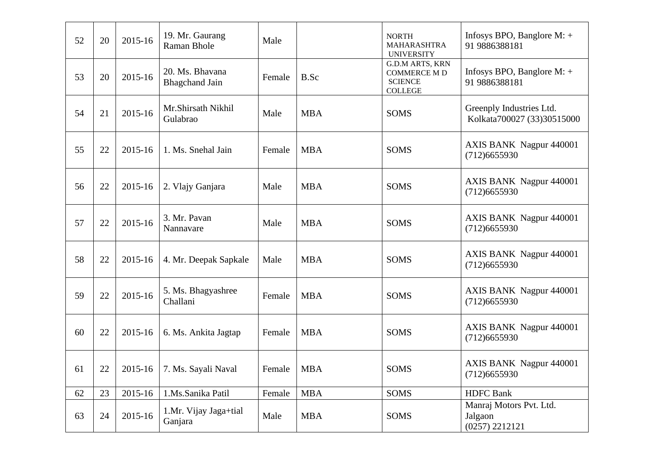| 52 | 20 | 2015-16 | 19. Mr. Gaurang<br>Raman Bhole           | Male   |            | <b>NORTH</b><br>MAHARASHTRA<br><b>UNIVERSITY</b>                                  | Infosys BPO, Banglore $M$ : +<br>91 9886388181         |
|----|----|---------|------------------------------------------|--------|------------|-----------------------------------------------------------------------------------|--------------------------------------------------------|
| 53 | 20 | 2015-16 | 20. Ms. Bhavana<br><b>Bhagchand Jain</b> | Female | B.Sc       | <b>G.D.M ARTS, KRN</b><br><b>COMMERCE M D</b><br><b>SCIENCE</b><br><b>COLLEGE</b> | Infosys BPO, Banglore $M$ : +<br>91 9886388181         |
| 54 | 21 | 2015-16 | Mr.Shirsath Nikhil<br>Gulabrao           | Male   | <b>MBA</b> | <b>SOMS</b>                                                                       | Greenply Industries Ltd.<br>Kolkata700027 (33)30515000 |
| 55 | 22 | 2015-16 | 1. Ms. Snehal Jain                       | Female | <b>MBA</b> | <b>SOMS</b>                                                                       | AXIS BANK Nagpur 440001<br>(712)6655930                |
| 56 | 22 | 2015-16 | 2. Vlajy Ganjara                         | Male   | <b>MBA</b> | <b>SOMS</b>                                                                       | AXIS BANK Nagpur 440001<br>(712)6655930                |
| 57 | 22 | 2015-16 | 3. Mr. Pavan<br>Nannavare                | Male   | <b>MBA</b> | <b>SOMS</b>                                                                       | AXIS BANK Nagpur 440001<br>(712)6655930                |
| 58 | 22 | 2015-16 | 4. Mr. Deepak Sapkale                    | Male   | <b>MBA</b> | <b>SOMS</b>                                                                       | AXIS BANK Nagpur 440001<br>(712)6655930                |
| 59 | 22 | 2015-16 | 5. Ms. Bhagyashree<br>Challani           | Female | <b>MBA</b> | <b>SOMS</b>                                                                       | AXIS BANK Nagpur 440001<br>(712)6655930                |
| 60 | 22 | 2015-16 | 6. Ms. Ankita Jagtap                     | Female | <b>MBA</b> | <b>SOMS</b>                                                                       | AXIS BANK Nagpur 440001<br>(712)6655930                |
| 61 | 22 |         | 2015-16 7. Ms. Sayali Naval              | Female | MBA        | SOMS                                                                              | AXIS BANK Nagpur 440001<br>(712)6655930                |
| 62 | 23 | 2015-16 | 1.Ms.Sanika Patil                        | Female | <b>MBA</b> | <b>SOMS</b>                                                                       | <b>HDFC Bank</b>                                       |
| 63 | 24 | 2015-16 | 1.Mr. Vijay Jaga+tial<br>Ganjara         | Male   | <b>MBA</b> | SOMS                                                                              | Manraj Motors Pvt. Ltd.<br>Jalgaon<br>(0257) 2212121   |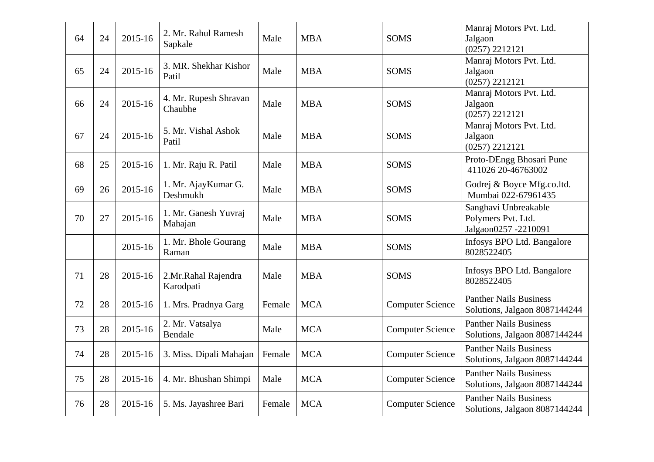| 64 | 24 | 2015-16 | 2. Mr. Rahul Ramesh<br>Sapkale   | Male   | <b>MBA</b> | <b>SOMS</b>             | Manraj Motors Pvt. Ltd.<br>Jalgaon<br>(0257) 2212121               |
|----|----|---------|----------------------------------|--------|------------|-------------------------|--------------------------------------------------------------------|
| 65 | 24 | 2015-16 | 3. MR. Shekhar Kishor<br>Patil   | Male   | <b>MBA</b> | <b>SOMS</b>             | Manraj Motors Pvt. Ltd.<br>Jalgaon<br>(0257) 2212121               |
| 66 | 24 | 2015-16 | 4. Mr. Rupesh Shravan<br>Chaubhe | Male   | <b>MBA</b> | <b>SOMS</b>             | Manraj Motors Pvt. Ltd.<br>Jalgaon<br>(0257) 2212121               |
| 67 | 24 | 2015-16 | 5. Mr. Vishal Ashok<br>Patil     | Male   | <b>MBA</b> | <b>SOMS</b>             | Manraj Motors Pvt. Ltd.<br>Jalgaon<br>(0257) 2212121               |
| 68 | 25 | 2015-16 | 1. Mr. Raju R. Patil             | Male   | <b>MBA</b> | <b>SOMS</b>             | Proto-DEngg Bhosari Pune<br>411026 20-46763002                     |
| 69 | 26 | 2015-16 | 1. Mr. AjayKumar G.<br>Deshmukh  | Male   | <b>MBA</b> | <b>SOMS</b>             | Godrej & Boyce Mfg.co.ltd.<br>Mumbai 022-67961435                  |
| 70 | 27 | 2015-16 | 1. Mr. Ganesh Yuvraj<br>Mahajan  | Male   | <b>MBA</b> | <b>SOMS</b>             | Sanghavi Unbreakable<br>Polymers Pvt. Ltd.<br>Jalgaon0257 -2210091 |
|    |    | 2015-16 | 1. Mr. Bhole Gourang<br>Raman    | Male   | <b>MBA</b> | <b>SOMS</b>             | Infosys BPO Ltd. Bangalore<br>8028522405                           |
| 71 | 28 | 2015-16 | 2.Mr.Rahal Rajendra<br>Karodpati | Male   | <b>MBA</b> | <b>SOMS</b>             | Infosys BPO Ltd. Bangalore<br>8028522405                           |
| 72 | 28 | 2015-16 | 1. Mrs. Pradnya Garg             | Female | <b>MCA</b> | <b>Computer Science</b> | <b>Panther Nails Business</b><br>Solutions, Jalgaon 8087144244     |
| 73 | 28 | 2015-16 | 2. Mr. Vatsalya<br>Bendale       | Male   | <b>MCA</b> | <b>Computer Science</b> | <b>Panther Nails Business</b><br>Solutions, Jalgaon 8087144244     |
| 74 | 28 | 2015-16 | 3. Miss. Dipali Mahajan          | Female | <b>MCA</b> | <b>Computer Science</b> | <b>Panther Nails Business</b><br>Solutions, Jalgaon 8087144244     |
| 75 | 28 | 2015-16 | 4. Mr. Bhushan Shimpi            | Male   | <b>MCA</b> | <b>Computer Science</b> | <b>Panther Nails Business</b><br>Solutions, Jalgaon 8087144244     |
| 76 | 28 | 2015-16 | 5. Ms. Jayashree Bari            | Female | <b>MCA</b> | <b>Computer Science</b> | <b>Panther Nails Business</b><br>Solutions, Jalgaon 8087144244     |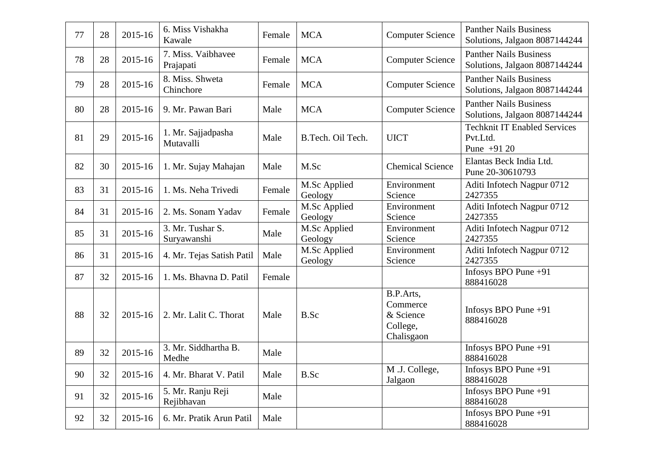| 77 | 28 | 2015-16 | 6. Miss Vishakha<br>Kawale      | Female | <b>MCA</b>              | <b>Computer Science</b>                                      | <b>Panther Nails Business</b><br>Solutions, Jalgaon 8087144244  |
|----|----|---------|---------------------------------|--------|-------------------------|--------------------------------------------------------------|-----------------------------------------------------------------|
| 78 | 28 | 2015-16 | 7. Miss. Vaibhavee<br>Prajapati | Female | <b>MCA</b>              | <b>Computer Science</b>                                      | <b>Panther Nails Business</b><br>Solutions, Jalgaon 8087144244  |
| 79 | 28 | 2015-16 | 8. Miss. Shweta<br>Chinchore    | Female | <b>MCA</b>              | <b>Computer Science</b>                                      | <b>Panther Nails Business</b><br>Solutions, Jalgaon 8087144244  |
| 80 | 28 | 2015-16 | 9. Mr. Pawan Bari               | Male   | <b>MCA</b>              | <b>Computer Science</b>                                      | <b>Panther Nails Business</b><br>Solutions, Jalgaon 8087144244  |
| 81 | 29 | 2015-16 | 1. Mr. Sajjadpasha<br>Mutavalli | Male   | B.Tech. Oil Tech.       | <b>UICT</b>                                                  | <b>Techknit IT Enabled Services</b><br>Pvt.Ltd.<br>Pune $+9120$ |
| 82 | 30 | 2015-16 | 1. Mr. Sujay Mahajan            | Male   | M.Sc                    | <b>Chemical Science</b>                                      | Elantas Beck India Ltd.<br>Pune 20-30610793                     |
| 83 | 31 | 2015-16 | 1. Ms. Neha Trivedi             | Female | M.Sc Applied<br>Geology | Environment<br>Science                                       | Aditi Infotech Nagpur 0712<br>2427355                           |
| 84 | 31 | 2015-16 | 2. Ms. Sonam Yadav              | Female | M.Sc Applied<br>Geology | Environment<br>Science                                       | Aditi Infotech Nagpur 0712<br>2427355                           |
| 85 | 31 | 2015-16 | 3. Mr. Tushar S.<br>Suryawanshi | Male   | M.Sc Applied<br>Geology | Environment<br>Science                                       | Aditi Infotech Nagpur 0712<br>2427355                           |
| 86 | 31 | 2015-16 | 4. Mr. Tejas Satish Patil       | Male   | M.Sc Applied<br>Geology | Environment<br>Science                                       | Aditi Infotech Nagpur 0712<br>2427355                           |
| 87 | 32 | 2015-16 | 1. Ms. Bhavna D. Patil          | Female |                         |                                                              | Infosys BPO Pune $+91$<br>888416028                             |
| 88 | 32 | 2015-16 | 2. Mr. Lalit C. Thorat          | Male   | B.Sc                    | B.P.Arts,<br>Commerce<br>& Science<br>College,<br>Chalisgaon | Infosys BPO Pune $+91$<br>888416028                             |
| 89 | 32 | 2015-16 | 3. Mr. Siddhartha B.<br>Medhe   | Male   |                         |                                                              | Infosys BPO Pune +91<br>888416028                               |
| 90 | 32 | 2015-16 | 4. Mr. Bharat V. Patil          | Male   | B.Sc                    | M .J. College,<br>Jalgaon                                    | Infosys BPO Pune $+91$<br>888416028                             |
| 91 | 32 | 2015-16 | 5. Mr. Ranju Reji<br>Rejibhavan | Male   |                         |                                                              | Infosys BPO Pune $+91$<br>888416028                             |
| 92 | 32 | 2015-16 | 6. Mr. Pratik Arun Patil        | Male   |                         |                                                              | Infosys BPO Pune $+91$<br>888416028                             |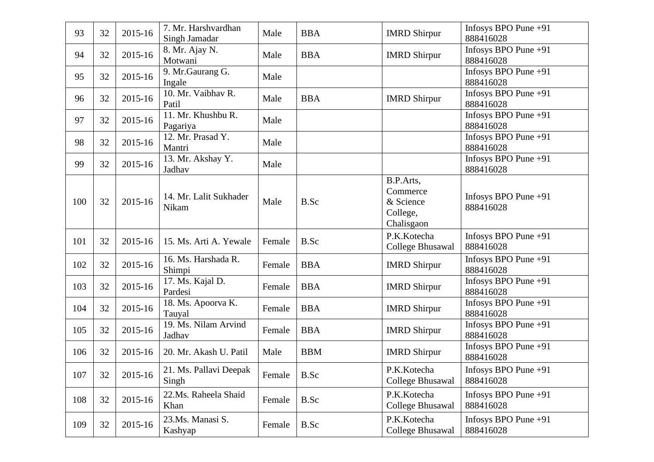| 93  | 32 | 2015-16 | 7. Mr. Harshvardhan<br>Singh Jamadar | Male   | <b>BBA</b> | <b>IMRD Shirpur</b>                                          | Infosys BPO Pune $+91$<br>888416028 |
|-----|----|---------|--------------------------------------|--------|------------|--------------------------------------------------------------|-------------------------------------|
| 94  | 32 | 2015-16 | 8. Mr. Ajay N.<br>Motwani            | Male   | <b>BBA</b> | <b>IMRD Shirpur</b>                                          | Infosys BPO Pune +91<br>888416028   |
| 95  | 32 | 2015-16 | 9. Mr. Gaurang G.<br>Ingale          | Male   |            |                                                              | Infosys BPO Pune $+91$<br>888416028 |
| 96  | 32 | 2015-16 | 10. Mr. Vaibhav R.<br>Patil          | Male   | <b>BBA</b> | <b>IMRD Shirpur</b>                                          | Infosys BPO Pune +91<br>888416028   |
| 97  | 32 | 2015-16 | 11. Mr. Khushbu R.<br>Pagariya       | Male   |            |                                                              | Infosys BPO Pune $+91$<br>888416028 |
| 98  | 32 | 2015-16 | 12. Mr. Prasad Y.<br>Mantri          | Male   |            |                                                              | Infosys BPO Pune +91<br>888416028   |
| 99  | 32 | 2015-16 | 13. Mr. Akshay Y.<br>Jadhav          | Male   |            |                                                              | Infosys BPO Pune +91<br>888416028   |
| 100 | 32 | 2015-16 | 14. Mr. Lalit Sukhader<br>Nikam      | Male   | B.Sc       | B.P.Arts,<br>Commerce<br>& Science<br>College,<br>Chalisgaon | Infosys BPO Pune $+91$<br>888416028 |
| 101 | 32 | 2015-16 | 15. Ms. Arti A. Yewale               | Female | B.Sc       | P.K.Kotecha<br>College Bhusawal                              | Infosys BPO Pune $+91$<br>888416028 |
| 102 | 32 | 2015-16 | 16. Ms. Harshada R.<br>Shimpi        | Female | <b>BBA</b> | <b>IMRD Shirpur</b>                                          | Infosys BPO Pune $+91$<br>888416028 |
| 103 | 32 | 2015-16 | 17. Ms. Kajal D.<br>Pardesi          | Female | <b>BBA</b> | <b>IMRD Shirpur</b>                                          | Infosys BPO Pune $+91$<br>888416028 |
| 104 | 32 | 2015-16 | 18. Ms. Apoorva K.<br>Tauyal         | Female | <b>BBA</b> | <b>IMRD Shirpur</b>                                          | Infosys BPO Pune $+91$<br>888416028 |
| 105 | 32 | 2015-16 | 19. Ms. Nilam Arvind<br>Jadhav       | Female | <b>BBA</b> | <b>IMRD Shirpur</b>                                          | Infosys BPO Pune +91<br>888416028   |
| 106 | 32 | 2015-16 | 20. Mr. Akash U. Patil               | Male   | <b>BBM</b> | <b>IMRD</b> Shirpur                                          | Infosys BPO Pune $+91$<br>888416028 |
| 107 | 32 | 2015-16 | 21. Ms. Pallavi Deepak<br>Singh      | Female | B.Sc       | P.K.Kotecha<br>College Bhusawal                              | Infosys BPO Pune $+91$<br>888416028 |
| 108 | 32 | 2015-16 | 22.Ms. Raheela Shaid<br>Khan         | Female | B.Sc       | P.K.Kotecha<br><b>College Bhusawal</b>                       | Infosys BPO Pune $+91$<br>888416028 |
| 109 | 32 | 2015-16 | 23.Ms. Manasi S.<br>Kashyap          | Female | B.Sc       | P.K.Kotecha<br>College Bhusawal                              | Infosys BPO Pune $+91$<br>888416028 |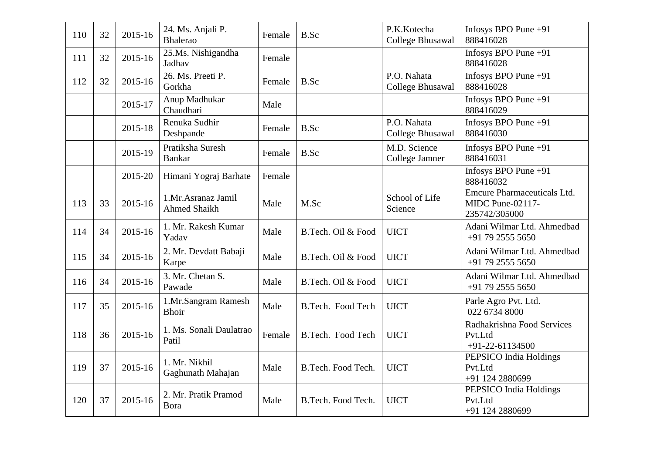| 110 | 32 | 2015-16 | 24. Ms. Anjali P.<br><b>Bhalerao</b>      | Female | B.Sc               | P.K.Kotecha<br><b>College Bhusawal</b> | Infosys BPO Pune +91<br>888416028                                       |
|-----|----|---------|-------------------------------------------|--------|--------------------|----------------------------------------|-------------------------------------------------------------------------|
| 111 | 32 | 2015-16 | 25.Ms. Nishigandha<br>Jadhav              | Female |                    |                                        | Infosys BPO Pune +91<br>888416028                                       |
| 112 | 32 | 2015-16 | 26. Ms. Preeti P.<br>Gorkha               | Female | B.Sc               | P.O. Nahata<br><b>College Bhusawal</b> | Infosys BPO Pune +91<br>888416028                                       |
|     |    | 2015-17 | Anup Madhukar<br>Chaudhari                | Male   |                    |                                        | Infosys BPO Pune +91<br>888416029                                       |
|     |    | 2015-18 | Renuka Sudhir<br>Deshpande                | Female | B.Sc               | P.O. Nahata<br><b>College Bhusawal</b> | Infosys BPO Pune +91<br>888416030                                       |
|     |    | 2015-19 | Pratiksha Suresh<br><b>Bankar</b>         | Female | B.Sc               | M.D. Science<br>College Jamner         | Infosys BPO Pune +91<br>888416031                                       |
|     |    | 2015-20 | Himani Yograj Barhate                     | Female |                    |                                        | Infosys BPO Pune $+91$<br>888416032                                     |
| 113 | 33 | 2015-16 | 1.Mr.Asranaz Jamil<br><b>Ahmed Shaikh</b> | Male   | M.Sc               | School of Life<br>Science              | <b>Emcure Pharmaceuticals Ltd.</b><br>MIDC Pune-02117-<br>235742/305000 |
| 114 | 34 | 2015-16 | 1. Mr. Rakesh Kumar<br>Yadav              | Male   | B.Tech. Oil & Food | <b>UICT</b>                            | Adani Wilmar Ltd. Ahmedbad<br>$+917925555650$                           |
| 115 | 34 | 2015-16 | 2. Mr. Devdatt Babaji<br>Karpe            | Male   | B.Tech. Oil & Food | <b>UICT</b>                            | Adani Wilmar Ltd. Ahmedbad<br>+91 79 2555 5650                          |
| 116 | 34 | 2015-16 | 3. Mr. Chetan S.<br>Pawade                | Male   | B.Tech. Oil & Food | <b>UICT</b>                            | Adani Wilmar Ltd. Ahmedbad<br>+91 79 2555 5650                          |
| 117 | 35 | 2015-16 | 1.Mr.Sangram Ramesh<br><b>Bhoir</b>       | Male   | B.Tech. Food Tech  | <b>UICT</b>                            | Parle Agro Pvt. Ltd.<br>022 6734 8000                                   |
| 118 | 36 | 2015-16 | 1. Ms. Sonali Daulatrao<br>Patil          | Female | B.Tech. Food Tech  | <b>UICT</b>                            | Radhakrishna Food Services<br>Pvt.Ltd<br>$+91-22-61134500$              |
| 119 | 37 | 2015-16 | 1. Mr. Nikhil<br>Gaghunath Mahajan        | Male   | B.Tech. Food Tech. | <b>UICT</b>                            | PEPSICO India Holdings<br>Pvt.Ltd<br>+91 124 2880699                    |
| 120 | 37 | 2015-16 | 2. Mr. Pratik Pramod<br>Bora              | Male   | B.Tech. Food Tech. | <b>UICT</b>                            | PEPSICO India Holdings<br>Pvt.Ltd<br>+91 124 2880699                    |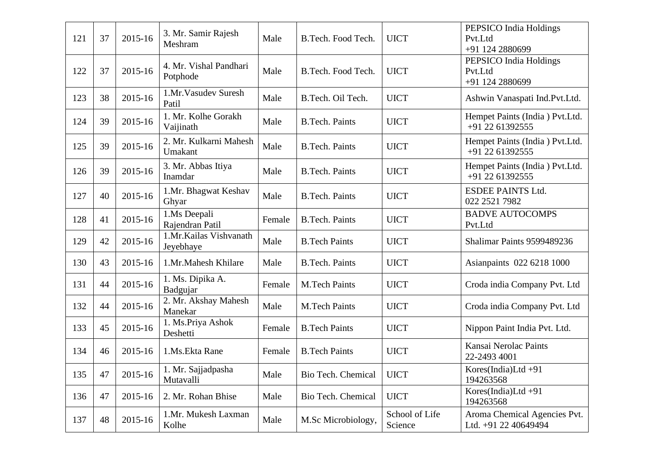| 121 | 37 | 2015-16 | 3. Mr. Samir Rajesh<br>Meshram      | Male   | B.Tech. Food Tech.    | <b>UICT</b>               | PEPSICO India Holdings<br>Pvt.Ltd<br>+91 124 2880699 |
|-----|----|---------|-------------------------------------|--------|-----------------------|---------------------------|------------------------------------------------------|
| 122 | 37 | 2015-16 | 4. Mr. Vishal Pandhari<br>Potphode  | Male   | B.Tech. Food Tech.    | <b>UICT</b>               | PEPSICO India Holdings<br>Pvt.Ltd<br>+91 124 2880699 |
| 123 | 38 | 2015-16 | 1.Mr.Vasudev Suresh<br>Patil        | Male   | B.Tech. Oil Tech.     | <b>UICT</b>               | Ashwin Vanaspati Ind.Pvt.Ltd.                        |
| 124 | 39 | 2015-16 | 1. Mr. Kolhe Gorakh<br>Vaijinath    | Male   | <b>B.Tech. Paints</b> | <b>UICT</b>               | Hempet Paints (India) Pvt.Ltd.<br>+91 22 61392555    |
| 125 | 39 | 2015-16 | 2. Mr. Kulkarni Mahesh<br>Umakant   | Male   | <b>B.Tech. Paints</b> | <b>UICT</b>               | Hempet Paints (India) Pvt.Ltd.<br>+91 22 61392555    |
| 126 | 39 | 2015-16 | 3. Mr. Abbas Itiya<br>Inamdar       | Male   | <b>B.Tech. Paints</b> | <b>UICT</b>               | Hempet Paints (India) Pvt.Ltd.<br>+91 22 61392555    |
| 127 | 40 | 2015-16 | 1.Mr. Bhagwat Keshav<br>Ghyar       | Male   | <b>B.Tech. Paints</b> | <b>UICT</b>               | <b>ESDEE PAINTS Ltd.</b><br>022 2521 7982            |
| 128 | 41 | 2015-16 | 1.Ms Deepali<br>Rajendran Patil     | Female | <b>B.Tech. Paints</b> | <b>UICT</b>               | <b>BADVE AUTOCOMPS</b><br>Pvt.Ltd                    |
| 129 | 42 | 2015-16 | 1.Mr.Kailas Vishvanath<br>Jeyebhaye | Male   | <b>B.Tech Paints</b>  | <b>UICT</b>               | Shalimar Paints 9599489236                           |
| 130 | 43 | 2015-16 | 1.Mr.Mahesh Khilare                 | Male   | <b>B.Tech. Paints</b> | <b>UICT</b>               | Asianpaints 022 6218 1000                            |
| 131 | 44 | 2015-16 | 1. Ms. Dipika A.<br>Badgujar        | Female | <b>M.Tech Paints</b>  | <b>UICT</b>               | Croda india Company Pvt. Ltd                         |
| 132 | 44 | 2015-16 | 2. Mr. Akshay Mahesh<br>Manekar     | Male   | <b>M.Tech Paints</b>  | <b>UICT</b>               | Croda india Company Pvt. Ltd                         |
| 133 | 45 | 2015-16 | 1. Ms.Priya Ashok<br>Deshetti       | Female | <b>B.Tech Paints</b>  | <b>UICT</b>               | Nippon Paint India Pvt. Ltd.                         |
| 134 | 46 | 2015-16 | 1.Ms. Ekta Rane                     | Female | <b>B.Tech Paints</b>  | <b>UICT</b>               | Kansai Nerolac Paints<br>22-2493 4001                |
| 135 | 47 | 2015-16 | 1. Mr. Sajjadpasha<br>Mutavalli     | Male   | Bio Tech. Chemical    | <b>UICT</b>               | $Kores(India)Ltd+91$<br>194263568                    |
| 136 | 47 | 2015-16 | 2. Mr. Rohan Bhise                  | Male   | Bio Tech. Chemical    | <b>UICT</b>               | Kores(India)Ltd $+91$<br>194263568                   |
| 137 | 48 | 2015-16 | 1.Mr. Mukesh Laxman<br>Kolhe        | Male   | M.Sc Microbiology,    | School of Life<br>Science | Aroma Chemical Agencies Pvt.<br>Ltd. +91 22 40649494 |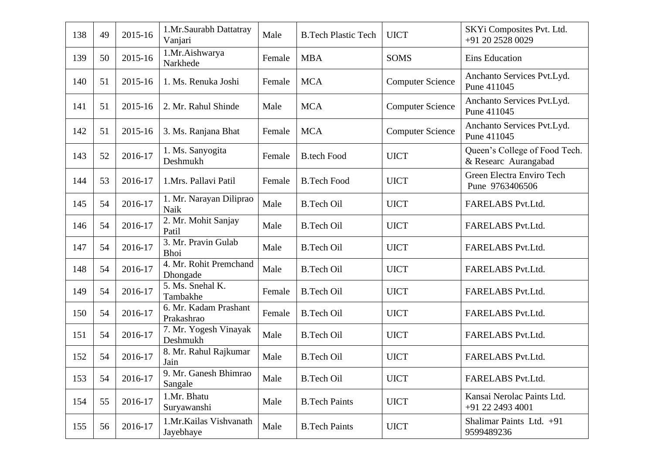| 138 | 49 | 2015-16 | 1.Mr.Saurabh Dattatray<br>Vanjari   | Male   | <b>B.Tech Plastic Tech</b> | <b>UICT</b>             | SKYi Composites Pvt. Ltd.<br>+91 20 2528 0029         |
|-----|----|---------|-------------------------------------|--------|----------------------------|-------------------------|-------------------------------------------------------|
| 139 | 50 | 2015-16 | 1.Mr.Aishwarya<br>Narkhede          | Female | <b>MBA</b>                 | <b>SOMS</b>             | Eins Education                                        |
| 140 | 51 | 2015-16 | 1. Ms. Renuka Joshi                 | Female | <b>MCA</b>                 | <b>Computer Science</b> | Anchanto Services Pvt.Lyd.<br>Pune 411045             |
| 141 | 51 | 2015-16 | 2. Mr. Rahul Shinde                 | Male   | <b>MCA</b>                 | <b>Computer Science</b> | Anchanto Services Pvt.Lyd.<br>Pune 411045             |
| 142 | 51 | 2015-16 | 3. Ms. Ranjana Bhat                 | Female | <b>MCA</b>                 | <b>Computer Science</b> | Anchanto Services Pvt.Lyd.<br>Pune 411045             |
| 143 | 52 | 2016-17 | 1. Ms. Sanyogita<br>Deshmukh        | Female | <b>B.tech Food</b>         | <b>UICT</b>             | Queen's College of Food Tech.<br>& Researc Aurangabad |
| 144 | 53 | 2016-17 | 1.Mrs. Pallavi Patil                | Female | <b>B.Tech Food</b>         | <b>UICT</b>             | Green Electra Enviro Tech<br>Pune 9763406506          |
| 145 | 54 | 2016-17 | 1. Mr. Narayan Diliprao<br>Naik     | Male   | <b>B.Tech Oil</b>          | <b>UICT</b>             | FARELABS Pvt.Ltd.                                     |
| 146 | 54 | 2016-17 | 2. Mr. Mohit Sanjay<br>Patil        | Male   | <b>B.Tech Oil</b>          | <b>UICT</b>             | FARELABS Pvt.Ltd.                                     |
| 147 | 54 | 2016-17 | 3. Mr. Pravin Gulab<br><b>Bhoi</b>  | Male   | <b>B.Tech Oil</b>          | <b>UICT</b>             | FARELABS Pvt.Ltd.                                     |
| 148 | 54 | 2016-17 | 4. Mr. Rohit Premchand<br>Dhongade  | Male   | <b>B.Tech Oil</b>          | <b>UICT</b>             | FARELABS Pvt.Ltd.                                     |
| 149 | 54 | 2016-17 | 5. Ms. Snehal K.<br>Tambakhe        | Female | <b>B.Tech Oil</b>          | <b>UICT</b>             | FARELABS Pvt.Ltd.                                     |
| 150 | 54 | 2016-17 | 6. Mr. Kadam Prashant<br>Prakashrao | Female | <b>B.Tech Oil</b>          | <b>UICT</b>             | FARELABS Pvt.Ltd.                                     |
| 151 | 54 | 2016-17 | 7. Mr. Yogesh Vinayak<br>Deshmukh   | Male   | <b>B.Tech Oil</b>          | <b>UICT</b>             | FARELABS Pvt.Ltd.                                     |
| 152 | 54 | 2016-17 | 8. Mr. Rahul Rajkumar<br>Jain       | Male   | <b>B.Tech Oil</b>          | <b>UICT</b>             | FARELABS Pvt.Ltd.                                     |
| 153 | 54 | 2016-17 | 9. Mr. Ganesh Bhimrao<br>Sangale    | Male   | <b>B.Tech Oil</b>          | <b>UICT</b>             | FARELABS Pvt.Ltd.                                     |
| 154 | 55 | 2016-17 | 1.Mr. Bhatu<br>Suryawanshi          | Male   | <b>B.Tech Paints</b>       | <b>UICT</b>             | Kansai Nerolac Paints Ltd.<br>+91 22 2493 4001        |
| 155 | 56 | 2016-17 | 1.Mr.Kailas Vishvanath<br>Jayebhaye | Male   | <b>B.Tech Paints</b>       | <b>UICT</b>             | Shalimar Paints Ltd. +91<br>9599489236                |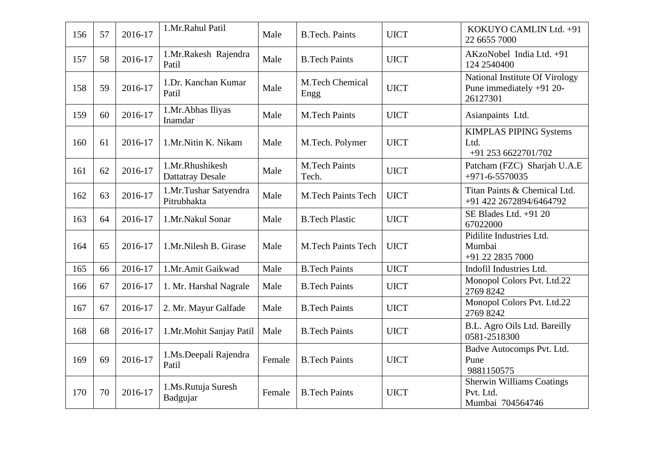| 156 | 57 | 2016-17 | 1.Mr.Rahul Patil                           | Male   | <b>B.Tech. Paints</b>          | <b>UICT</b> | KOKUYO CAMLIN Ltd. +91<br>22 6655 7000                                 |
|-----|----|---------|--------------------------------------------|--------|--------------------------------|-------------|------------------------------------------------------------------------|
| 157 | 58 | 2016-17 | 1.Mr.Rakesh Rajendra<br>Patil              | Male   | <b>B.Tech Paints</b>           | <b>UICT</b> | AKzoNobel India Ltd. +91<br>124 2540400                                |
| 158 | 59 | 2016-17 | 1.Dr. Kanchan Kumar<br>Patil               | Male   | <b>M.Tech Chemical</b><br>Engg | <b>UICT</b> | National Institute Of Virology<br>Pune immediately +91 20-<br>26127301 |
| 159 | 60 | 2016-17 | 1.Mr.Abhas Iliyas<br>Inamdar               | Male   | <b>M.Tech Paints</b>           | <b>UICT</b> | Asianpaints Ltd.                                                       |
| 160 | 61 | 2016-17 | 1.Mr.Nitin K. Nikam                        | Male   | M.Tech. Polymer                | <b>UICT</b> | <b>KIMPLAS PIPING Systems</b><br>Ltd.<br>+91 253 6622701/702           |
| 161 | 62 | 2016-17 | 1.Mr.Rhushikesh<br><b>Dattatray Desale</b> | Male   | <b>M.Tech Paints</b><br>Tech.  | <b>UICT</b> | Patcham (FZC) Sharjah U.A.E<br>$+971 - 6 - 5570035$                    |
| 162 | 63 | 2016-17 | 1.Mr.Tushar Satyendra<br>Pitrubhakta       | Male   | <b>M.Tech Paints Tech</b>      | <b>UICT</b> | Titan Paints & Chemical Ltd.<br>+91 422 2672894/6464792                |
| 163 | 64 | 2016-17 | 1.Mr.Nakul Sonar                           | Male   | <b>B.Tech Plastic</b>          | <b>UICT</b> | SE Blades Ltd. +91 20<br>67022000                                      |
| 164 | 65 | 2016-17 | 1.Mr.Nilesh B. Girase                      | Male   | <b>M.Tech Paints Tech</b>      | <b>UICT</b> | Pidilite Industries Ltd.<br>Mumbai<br>+91 22 2835 7000                 |
| 165 | 66 | 2016-17 | 1.Mr.Amit Gaikwad                          | Male   | <b>B.Tech Paints</b>           | <b>UICT</b> | Indofil Industries Ltd.                                                |
| 166 | 67 | 2016-17 | 1. Mr. Harshal Nagrale                     | Male   | <b>B.Tech Paints</b>           | <b>UICT</b> | Monopol Colors Pvt. Ltd.22<br>2769 8242                                |
| 167 | 67 | 2016-17 | 2. Mr. Mayur Galfade                       | Male   | <b>B.Tech Paints</b>           | <b>UICT</b> | Monopol Colors Pvt. Ltd.22<br>2769 8242                                |
| 168 | 68 | 2016-17 | 1.Mr.Mohit Sanjay Patil                    | Male   | <b>B.Tech Paints</b>           | <b>UICT</b> | B.L. Agro Oils Ltd. Bareilly<br>0581-2518300                           |
| 169 | 69 | 2016-17 | 1.Ms.Deepali Rajendra<br>Patil             | Female | <b>B.Tech Paints</b>           | <b>UICT</b> | Badve Autocomps Pvt. Ltd.<br>Pune<br>9881150575                        |
| 170 | 70 | 2016-17 | 1.Ms.Rutuja Suresh<br>Badgujar             | Female | <b>B.Tech Paints</b>           | <b>UICT</b> | <b>Sherwin Williams Coatings</b><br>Pvt. Ltd.<br>Mumbai 704564746      |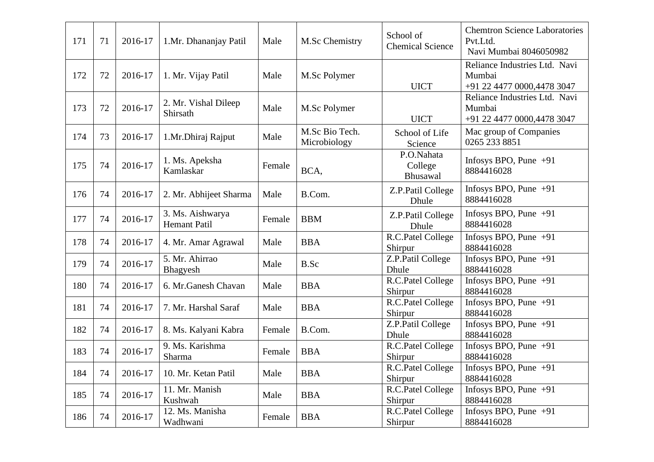| 171 | 71 | 2016-17 | 1.Mr. Dhananjay Patil                   | Male   | M.Sc Chemistry                 | School of<br><b>Chemical Science</b> | <b>Chemtron Science Laboratories</b><br>Pvt.Ltd.<br>Navi Mumbai 8046050982 |
|-----|----|---------|-----------------------------------------|--------|--------------------------------|--------------------------------------|----------------------------------------------------------------------------|
| 172 | 72 | 2016-17 | 1. Mr. Vijay Patil                      | Male   | M.Sc Polymer                   | <b>UICT</b>                          | Reliance Industries Ltd. Navi<br>Mumbai<br>+91 22 4477 0000,4478 3047      |
| 173 | 72 | 2016-17 | 2. Mr. Vishal Dileep<br>Shirsath        | Male   | M.Sc Polymer                   | <b>UICT</b>                          | Reliance Industries Ltd. Navi<br>Mumbai<br>+91 22 4477 0000,4478 3047      |
| 174 | 73 | 2016-17 | 1.Mr.Dhiraj Rajput                      | Male   | M.Sc Bio Tech.<br>Microbiology | School of Life<br>Science            | Mac group of Companies<br>0265 233 8851                                    |
| 175 | 74 | 2016-17 | 1. Ms. Apeksha<br>Kamlaskar             | Female | BCA,                           | P.O.Nahata<br>College<br>Bhusawal    | Infosys BPO, Pune $+91$<br>8884416028                                      |
| 176 | 74 | 2016-17 | 2. Mr. Abhijeet Sharma                  | Male   | B.Com.                         | Z.P.Patil College<br>Dhule           | Infosys BPO, Pune $+91$<br>8884416028                                      |
| 177 | 74 | 2016-17 | 3. Ms. Aishwarya<br><b>Hemant Patil</b> | Female | <b>BBM</b>                     | Z.P.Patil College<br>Dhule           | Infosys BPO, Pune $+91$<br>8884416028                                      |
| 178 | 74 | 2016-17 | 4. Mr. Amar Agrawal                     | Male   | <b>BBA</b>                     | R.C.Patel College<br>Shirpur         | Infosys BPO, Pune $+91$<br>8884416028                                      |
| 179 | 74 | 2016-17 | 5. Mr. Ahirrao<br>Bhagyesh              | Male   | B.Sc                           | Z.P.Patil College<br>Dhule           | Infosys BPO, Pune $+91$<br>8884416028                                      |
| 180 | 74 | 2016-17 | 6. Mr.Ganesh Chavan                     | Male   | <b>BBA</b>                     | R.C.Patel College<br>Shirpur         | Infosys BPO, Pune $+91$<br>8884416028                                      |
| 181 | 74 | 2016-17 | 7. Mr. Harshal Saraf                    | Male   | <b>BBA</b>                     | R.C.Patel College<br>Shirpur         | Infosys BPO, Pune $+91$<br>8884416028                                      |
| 182 | 74 | 2016-17 | 8. Ms. Kalyani Kabra                    | Female | B.Com.                         | Z.P.Patil College<br>Dhule           | Infosys BPO, Pune $+91$<br>8884416028                                      |
| 183 | 74 | 2016-17 | 9. Ms. Karishma<br>Sharma               | Female | <b>BBA</b>                     | R.C.Patel College<br>Shirpur         | Infosys BPO, Pune $+91$<br>8884416028                                      |
| 184 | 74 | 2016-17 | 10. Mr. Ketan Patil                     | Male   | <b>BBA</b>                     | R.C.Patel College<br>Shirpur         | Infosys BPO, Pune +91<br>8884416028                                        |
| 185 | 74 | 2016-17 | 11. Mr. Manish<br>Kushwah               | Male   | <b>BBA</b>                     | R.C.Patel College<br>Shirpur         | Infosys BPO, Pune $+91$<br>8884416028                                      |
| 186 | 74 | 2016-17 | 12. Ms. Manisha<br>Wadhwani             | Female | <b>BBA</b>                     | R.C.Patel College<br>Shirpur         | Infosys BPO, Pune $+91$<br>8884416028                                      |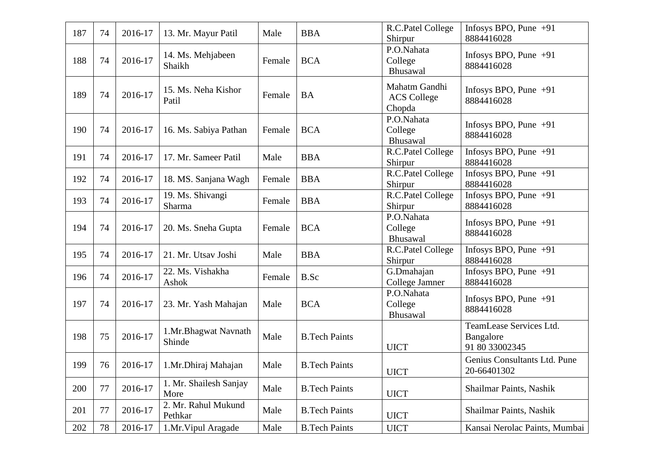| 187 | 74 | 2016-17 | 13. Mr. Mayur Patil            | Male   | <b>BBA</b>           | R.C.Patel College<br>Shirpur                  | Infosys BPO, Pune $+91$<br>8884416028                  |
|-----|----|---------|--------------------------------|--------|----------------------|-----------------------------------------------|--------------------------------------------------------|
| 188 | 74 | 2016-17 | 14. Ms. Mehjabeen<br>Shaikh    | Female | <b>BCA</b>           | P.O.Nahata<br>College<br>Bhusawal             | Infosys BPO, Pune $+91$<br>8884416028                  |
| 189 | 74 | 2016-17 | 15. Ms. Neha Kishor<br>Patil   | Female | <b>BA</b>            | Mahatm Gandhi<br><b>ACS College</b><br>Chopda | Infosys BPO, Pune $+91$<br>8884416028                  |
| 190 | 74 | 2016-17 | 16. Ms. Sabiya Pathan          | Female | <b>BCA</b>           | P.O.Nahata<br>College<br>Bhusawal             | Infosys BPO, Pune $+91$<br>8884416028                  |
| 191 | 74 | 2016-17 | 17. Mr. Sameer Patil           | Male   | <b>BBA</b>           | R.C.Patel College<br>Shirpur                  | Infosys BPO, Pune $+91$<br>8884416028                  |
| 192 | 74 | 2016-17 | 18. MS. Sanjana Wagh           | Female | <b>BBA</b>           | R.C.Patel College<br>Shirpur                  | Infosys BPO, Pune $+91$<br>8884416028                  |
| 193 | 74 | 2016-17 | 19. Ms. Shivangi<br>Sharma     | Female | <b>BBA</b>           | R.C.Patel College<br>Shirpur                  | Infosys BPO, Pune $+91$<br>8884416028                  |
| 194 | 74 | 2016-17 | 20. Ms. Sneha Gupta            | Female | <b>BCA</b>           | P.O.Nahata<br>College<br>Bhusawal             | Infosys BPO, Pune $+91$<br>8884416028                  |
| 195 | 74 | 2016-17 | 21. Mr. Utsav Joshi            | Male   | <b>BBA</b>           | R.C.Patel College<br>Shirpur                  | Infosys BPO, Pune $+91$<br>8884416028                  |
| 196 | 74 | 2016-17 | 22. Ms. Vishakha<br>Ashok      | Female | B.Sc                 | G.Dmahajan<br>College Jamner                  | Infosys BPO, Pune $+91$<br>8884416028                  |
| 197 | 74 | 2016-17 | 23. Mr. Yash Mahajan           | Male   | <b>BCA</b>           | P.O.Nahata<br>College<br>Bhusawal             | Infosys BPO, Pune $+91$<br>8884416028                  |
| 198 | 75 | 2016-17 | 1.Mr.Bhagwat Navnath<br>Shinde | Male   | <b>B.Tech Paints</b> | <b>UICT</b>                                   | TeamLease Services Ltd.<br>Bangalore<br>91 80 33002345 |
| 199 | 76 | 2016-17 | 1.Mr.Dhiraj Mahajan            | Male   | <b>B.Tech Paints</b> | <b>UICT</b>                                   | Genius Consultants Ltd. Pune<br>20-66401302            |
| 200 | 77 | 2016-17 | 1. Mr. Shailesh Sanjay<br>More | Male   | <b>B.Tech Paints</b> | <b>UICT</b>                                   | Shailmar Paints, Nashik                                |
| 201 | 77 | 2016-17 | 2. Mr. Rahul Mukund<br>Pethkar | Male   | <b>B.Tech Paints</b> | <b>UICT</b>                                   | Shailmar Paints, Nashik                                |
| 202 | 78 | 2016-17 | 1.Mr. Vipul Aragade            | Male   | <b>B.Tech Paints</b> | <b>UICT</b>                                   | Kansai Nerolac Paints, Mumbai                          |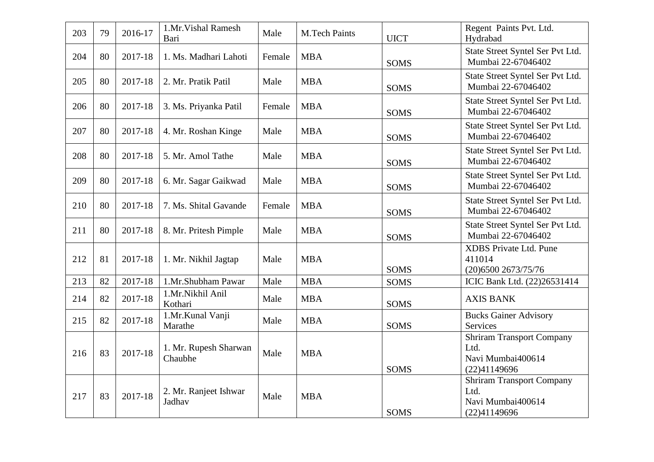| 203 | 79 | 2016-17 | 1.Mr. Vishal Ramesh<br>Bari      | Male   | <b>M.Tech Paints</b> | <b>UICT</b> | Regent Paints Pvt. Ltd.<br>Hydrabad                                           |
|-----|----|---------|----------------------------------|--------|----------------------|-------------|-------------------------------------------------------------------------------|
| 204 | 80 | 2017-18 | 1. Ms. Madhari Lahoti            | Female | <b>MBA</b>           | <b>SOMS</b> | State Street Syntel Ser Pvt Ltd.<br>Mumbai 22-67046402                        |
| 205 | 80 | 2017-18 | 2. Mr. Pratik Patil              | Male   | <b>MBA</b>           | <b>SOMS</b> | State Street Syntel Ser Pvt Ltd.<br>Mumbai 22-67046402                        |
| 206 | 80 | 2017-18 | 3. Ms. Priyanka Patil            | Female | <b>MBA</b>           | <b>SOMS</b> | State Street Syntel Ser Pvt Ltd.<br>Mumbai 22-67046402                        |
| 207 | 80 | 2017-18 | 4. Mr. Roshan Kinge              | Male   | <b>MBA</b>           | <b>SOMS</b> | State Street Syntel Ser Pvt Ltd.<br>Mumbai 22-67046402                        |
| 208 | 80 | 2017-18 | 5. Mr. Amol Tathe                | Male   | <b>MBA</b>           | <b>SOMS</b> | State Street Syntel Ser Pvt Ltd.<br>Mumbai 22-67046402                        |
| 209 | 80 | 2017-18 | 6. Mr. Sagar Gaikwad             | Male   | <b>MBA</b>           | <b>SOMS</b> | State Street Syntel Ser Pvt Ltd.<br>Mumbai 22-67046402                        |
| 210 | 80 | 2017-18 | 7. Ms. Shital Gavande            | Female | <b>MBA</b>           | <b>SOMS</b> | State Street Syntel Ser Pvt Ltd.<br>Mumbai 22-67046402                        |
| 211 | 80 | 2017-18 | 8. Mr. Pritesh Pimple            | Male   | <b>MBA</b>           | <b>SOMS</b> | State Street Syntel Ser Pvt Ltd.<br>Mumbai 22-67046402                        |
| 212 | 81 | 2017-18 | 1. Mr. Nikhil Jagtap             | Male   | <b>MBA</b>           | <b>SOMS</b> | <b>XDBS</b> Private Ltd. Pune<br>411014<br>(20) 6500 2673/75/76               |
| 213 | 82 | 2017-18 | 1.Mr.Shubham Pawar               | Male   | <b>MBA</b>           | <b>SOMS</b> | ICIC Bank Ltd. (22)26531414                                                   |
| 214 | 82 | 2017-18 | 1.Mr.Nikhil Anil<br>Kothari      | Male   | <b>MBA</b>           | <b>SOMS</b> | <b>AXIS BANK</b>                                                              |
| 215 | 82 | 2017-18 | 1.Mr.Kunal Vanji<br>Marathe      | Male   | <b>MBA</b>           | <b>SOMS</b> | <b>Bucks Gainer Advisory</b><br>Services                                      |
| 216 | 83 | 2017-18 | 1. Mr. Rupesh Sharwan<br>Chaubhe | Male   | <b>MBA</b>           | <b>SOMS</b> | <b>Shriram Transport Company</b><br>Ltd.<br>Navi Mumbai400614<br>(22)41149696 |
| 217 | 83 | 2017-18 | 2. Mr. Ranjeet Ishwar<br>Jadhav  | Male   | <b>MBA</b>           | <b>SOMS</b> | <b>Shriram Transport Company</b><br>Ltd.<br>Navi Mumbai400614<br>(22)41149696 |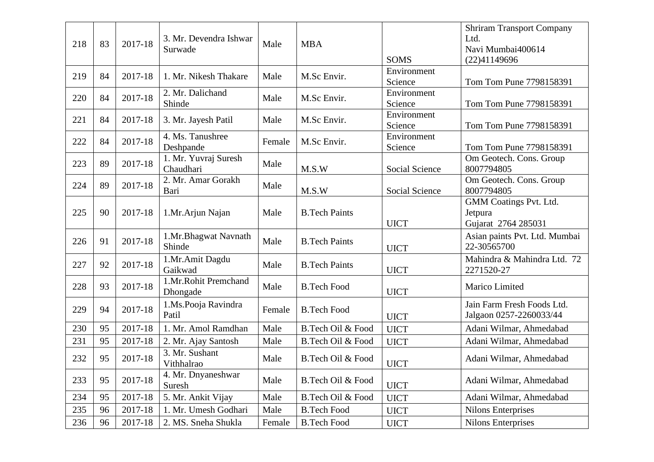| 218 | 83 | 2017-18 | 3. Mr. Devendra Ishwar<br>Surwade | Male   | <b>MBA</b>           | <b>SOMS</b>            | <b>Shriram Transport Company</b><br>Ltd.<br>Navi Mumbai400614<br>(22)41149696 |
|-----|----|---------|-----------------------------------|--------|----------------------|------------------------|-------------------------------------------------------------------------------|
| 219 | 84 | 2017-18 | 1. Mr. Nikesh Thakare             | Male   | M.Sc Envir.          | Environment<br>Science | Tom Tom Pune 7798158391                                                       |
| 220 | 84 | 2017-18 | 2. Mr. Dalichand<br>Shinde        | Male   | M.Sc Envir.          | Environment<br>Science | Tom Tom Pune 7798158391                                                       |
| 221 | 84 | 2017-18 | 3. Mr. Jayesh Patil               | Male   | M.Sc Envir.          | Environment<br>Science | Tom Tom Pune 7798158391                                                       |
| 222 | 84 | 2017-18 | 4. Ms. Tanushree<br>Deshpande     | Female | M.Sc Envir.          | Environment<br>Science | Tom Tom Pune 7798158391                                                       |
| 223 | 89 | 2017-18 | 1. Mr. Yuvraj Suresh<br>Chaudhari | Male   | M.S.W                | Social Science         | Om Geotech. Cons. Group<br>8007794805                                         |
| 224 | 89 | 2017-18 | 2. Mr. Amar Gorakh<br>Bari        | Male   | M.S.W                | Social Science         | Om Geotech. Cons. Group<br>8007794805                                         |
| 225 | 90 | 2017-18 | 1.Mr.Arjun Najan                  | Male   | <b>B.Tech Paints</b> | <b>UICT</b>            | GMM Coatings Pvt. Ltd.<br>Jetpura<br>Gujarat 2764 285031                      |
| 226 | 91 | 2017-18 | 1.Mr.Bhagwat Navnath<br>Shinde    | Male   | <b>B.Tech Paints</b> | <b>UICT</b>            | Asian paints Pvt. Ltd. Mumbai<br>22-30565700                                  |
| 227 | 92 | 2017-18 | 1.Mr.Amit Dagdu<br>Gaikwad        | Male   | <b>B.Tech Paints</b> | <b>UICT</b>            | Mahindra & Mahindra Ltd. 72<br>2271520-27                                     |
| 228 | 93 | 2017-18 | 1.Mr.Rohit Premchand<br>Dhongade  | Male   | <b>B.Tech Food</b>   | <b>UICT</b>            | Marico Limited                                                                |
| 229 | 94 | 2017-18 | 1.Ms.Pooja Ravindra<br>Patil      | Female | <b>B.Tech Food</b>   | <b>UICT</b>            | Jain Farm Fresh Foods Ltd.<br>Jalgaon 0257-2260033/44                         |
| 230 | 95 | 2017-18 | 1. Mr. Amol Ramdhan               | Male   | B.Tech Oil & Food    | <b>UICT</b>            | Adani Wilmar, Ahmedabad                                                       |
| 231 | 95 | 2017-18 | 2. Mr. Ajay Santosh               | Male   | B.Tech Oil & Food    | <b>UICT</b>            | Adani Wilmar, Ahmedabad                                                       |
| 232 | 95 | 2017-18 | 3. Mr. Sushant<br>Vithhalrao      | Male   | B.Tech Oil & Food    | <b>UICT</b>            | Adani Wilmar, Ahmedabad                                                       |
| 233 | 95 | 2017-18 | 4. Mr. Dnyaneshwar<br>Suresh      | Male   | B.Tech Oil & Food    | <b>UICT</b>            | Adani Wilmar, Ahmedabad                                                       |
| 234 | 95 | 2017-18 | 5. Mr. Ankit Vijay                | Male   | B.Tech Oil & Food    | <b>UICT</b>            | Adani Wilmar, Ahmedabad                                                       |
| 235 | 96 | 2017-18 | 1. Mr. Umesh Godhari              | Male   | <b>B.Tech Food</b>   | <b>UICT</b>            | <b>Nilons Enterprises</b>                                                     |
| 236 | 96 | 2017-18 | 2. MS. Sneha Shukla               | Female | <b>B.Tech Food</b>   | <b>UICT</b>            | <b>Nilons Enterprises</b>                                                     |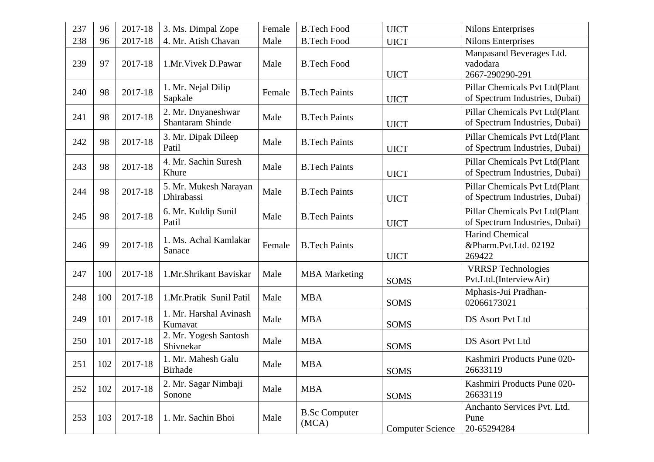| 237 | 96  | 2017-18 | 3. Ms. Dimpal Zope                            | Female | <b>B.Tech Food</b>            | <b>UICT</b>             | <b>Nilons Enterprises</b>                                        |
|-----|-----|---------|-----------------------------------------------|--------|-------------------------------|-------------------------|------------------------------------------------------------------|
| 238 | 96  | 2017-18 | 4. Mr. Atish Chavan                           | Male   | <b>B.Tech Food</b>            | <b>UICT</b>             | <b>Nilons Enterprises</b>                                        |
| 239 | 97  | 2017-18 | 1.Mr. Vivek D. Pawar                          | Male   | <b>B.Tech Food</b>            | <b>UICT</b>             | Manpasand Beverages Ltd.<br>vadodara<br>2667-290290-291          |
| 240 | 98  | 2017-18 | 1. Mr. Nejal Dilip<br>Sapkale                 | Female | <b>B.Tech Paints</b>          | <b>UICT</b>             | Pillar Chemicals Pvt Ltd(Plant<br>of Spectrum Industries, Dubai) |
| 241 | 98  | 2017-18 | 2. Mr. Dnyaneshwar<br><b>Shantaram Shinde</b> | Male   | <b>B.Tech Paints</b>          | <b>UICT</b>             | Pillar Chemicals Pvt Ltd(Plant<br>of Spectrum Industries, Dubai) |
| 242 | 98  | 2017-18 | 3. Mr. Dipak Dileep<br>Patil                  | Male   | <b>B.Tech Paints</b>          | <b>UICT</b>             | Pillar Chemicals Pvt Ltd(Plant<br>of Spectrum Industries, Dubai) |
| 243 | 98  | 2017-18 | 4. Mr. Sachin Suresh<br>Khure                 | Male   | <b>B.Tech Paints</b>          | <b>UICT</b>             | Pillar Chemicals Pvt Ltd(Plant<br>of Spectrum Industries, Dubai) |
| 244 | 98  | 2017-18 | 5. Mr. Mukesh Narayan<br>Dhirabassi           | Male   | <b>B.Tech Paints</b>          | <b>UICT</b>             | Pillar Chemicals Pvt Ltd(Plant<br>of Spectrum Industries, Dubai) |
| 245 | 98  | 2017-18 | 6. Mr. Kuldip Sunil<br>Patil                  | Male   | <b>B.Tech Paints</b>          | <b>UICT</b>             | Pillar Chemicals Pvt Ltd(Plant<br>of Spectrum Industries, Dubai) |
| 246 | 99  | 2017-18 | 1. Ms. Achal Kamlakar<br>Sanace               | Female | <b>B.Tech Paints</b>          | <b>UICT</b>             | <b>Harind Chemical</b><br>&Pharm.Pvt.Ltd. 02192<br>269422        |
| 247 | 100 | 2017-18 | 1.Mr.Shrikant Baviskar                        | Male   | <b>MBA</b> Marketing          | <b>SOMS</b>             | <b>VRRSP</b> Technologies<br>Pvt.Ltd.(InterviewAir)              |
| 248 | 100 | 2017-18 | 1.Mr.Pratik Sunil Patil                       | Male   | <b>MBA</b>                    | <b>SOMS</b>             | Mphasis-Jui Pradhan-<br>02066173021                              |
| 249 | 101 | 2017-18 | 1. Mr. Harshal Avinash<br>Kumavat             | Male   | <b>MBA</b>                    | <b>SOMS</b>             | <b>DS Asort Pvt Ltd</b>                                          |
| 250 | 101 | 2017-18 | 2. Mr. Yogesh Santosh<br>Shivnekar            | Male   | <b>MBA</b>                    | <b>SOMS</b>             | <b>DS Asort Pvt Ltd</b>                                          |
| 251 | 102 | 2017-18 | 1. Mr. Mahesh Galu<br><b>Birhade</b>          | Male   | <b>MBA</b>                    | SOMS                    | Kashmiri Products Pune 020-<br>26633119                          |
| 252 | 102 | 2017-18 | 2. Mr. Sagar Nimbaji<br>Sonone                | Male   | <b>MBA</b>                    | <b>SOMS</b>             | Kashmiri Products Pune 020-<br>26633119                          |
| 253 | 103 | 2017-18 | 1. Mr. Sachin Bhoi                            | Male   | <b>B.Sc Computer</b><br>(MCA) | <b>Computer Science</b> | Anchanto Services Pvt. Ltd.<br>Pune<br>20-65294284               |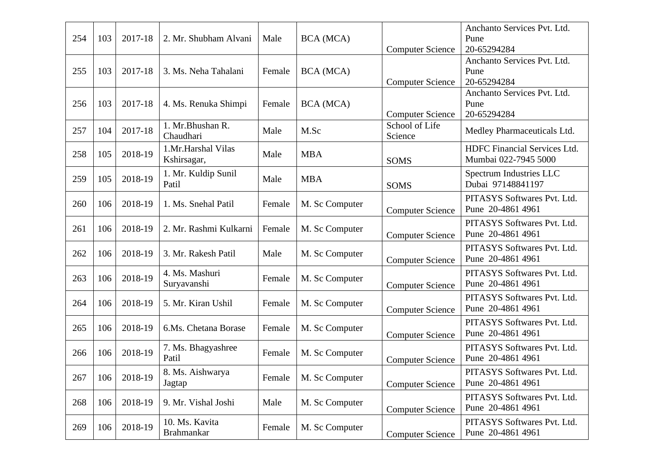|     |     |         |                        |        |                |                         | Anchanto Services Pvt. Ltd.  |
|-----|-----|---------|------------------------|--------|----------------|-------------------------|------------------------------|
| 254 | 103 | 2017-18 | 2. Mr. Shubham Alvani  | Male   | BCA (MCA)      |                         | Pune                         |
|     |     |         |                        |        |                | <b>Computer Science</b> | 20-65294284                  |
|     |     |         |                        |        |                |                         | Anchanto Services Pvt. Ltd.  |
| 255 | 103 | 2017-18 | 3. Ms. Neha Tahalani   | Female | BCA (MCA)      |                         | Pune                         |
|     |     |         |                        |        |                | <b>Computer Science</b> | 20-65294284                  |
|     |     |         |                        |        |                |                         | Anchanto Services Pvt. Ltd.  |
| 256 | 103 | 2017-18 | 4. Ms. Renuka Shimpi   | Female | BCA (MCA)      |                         | Pune                         |
|     |     |         |                        |        |                | <b>Computer Science</b> | 20-65294284                  |
| 257 | 104 | 2017-18 | 1. Mr. Bhushan R.      | Male   | M.Sc           | School of Life          |                              |
|     |     |         | Chaudhari              |        |                | Science                 | Medley Pharmaceuticals Ltd.  |
|     |     |         | 1.Mr.Harshal Vilas     |        |                |                         | HDFC Financial Services Ltd. |
| 258 | 105 | 2018-19 | Kshirsagar,            | Male   | <b>MBA</b>     | <b>SOMS</b>             | Mumbai 022-7945 5000         |
|     |     |         | 1. Mr. Kuldip Sunil    |        |                |                         | Spectrum Industries LLC      |
| 259 | 105 | 2018-19 | Patil                  | Male   | <b>MBA</b>     | <b>SOMS</b>             | Dubai 97148841197            |
|     |     |         |                        |        |                |                         |                              |
| 260 | 106 | 2018-19 | 1. Ms. Snehal Patil    | Female | M. Sc Computer |                         | PITASYS Softwares Pvt. Ltd.  |
|     |     |         |                        |        |                | <b>Computer Science</b> | Pune 20-4861 4961            |
| 261 | 106 | 2018-19 | 2. Mr. Rashmi Kulkarni | Female |                |                         | PITASYS Softwares Pvt. Ltd.  |
|     |     |         |                        |        | M. Sc Computer | <b>Computer Science</b> | Pune 20-4861 4961            |
|     |     |         |                        |        |                |                         | PITASYS Softwares Pvt. Ltd.  |
| 262 | 106 | 2018-19 | 3. Mr. Rakesh Patil    | Male   | M. Sc Computer | <b>Computer Science</b> | Pune 20-4861 4961            |
|     |     |         | 4. Ms. Mashuri         |        |                |                         | PITASYS Softwares Pvt. Ltd.  |
| 263 | 106 | 2018-19 |                        | Female | M. Sc Computer |                         | Pune 20-4861 4961            |
|     |     |         | Suryavanshi            |        |                | <b>Computer Science</b> |                              |
| 264 | 106 | 2018-19 | 5. Mr. Kiran Ushil     | Female | M. Sc Computer |                         | PITASYS Softwares Pvt. Ltd.  |
|     |     |         |                        |        |                | <b>Computer Science</b> | Pune 20-4861 4961            |
|     |     |         |                        |        |                |                         | PITASYS Softwares Pvt. Ltd.  |
| 265 | 106 | 2018-19 | 6.Ms. Chetana Borase   | Female | M. Sc Computer | <b>Computer Science</b> | Pune 20-4861 4961            |
|     |     |         | 7. Ms. Bhagyashree     |        |                |                         | PITASYS Softwares Pvt. Ltd.  |
| 266 | 106 | 2018-19 | Patil                  | Female | M. Sc Computer | <b>Computer Science</b> | Pune 20-4861 4961            |
|     |     |         |                        |        |                |                         |                              |
| 267 | 106 | 2018-19 | 8. Ms. Aishwarya       | Female | M. Sc Computer |                         | PITASYS Softwares Pvt. Ltd.  |
|     |     |         | Jagtap                 |        |                | <b>Computer Science</b> | Pune 20-4861 4961            |
| 268 | 106 | 2018-19 | 9. Mr. Vishal Joshi    | Male   | M. Sc Computer |                         | PITASYS Softwares Pvt. Ltd.  |
|     |     |         |                        |        |                | <b>Computer Science</b> | Pune 20-4861 4961            |
|     |     |         | 10. Ms. Kavita         |        |                |                         | PITASYS Softwares Pvt. Ltd.  |
| 269 | 106 | 2018-19 | <b>Brahmankar</b>      | Female | M. Sc Computer | <b>Computer Science</b> | Pune 20-4861 4961            |
|     |     |         |                        |        |                |                         |                              |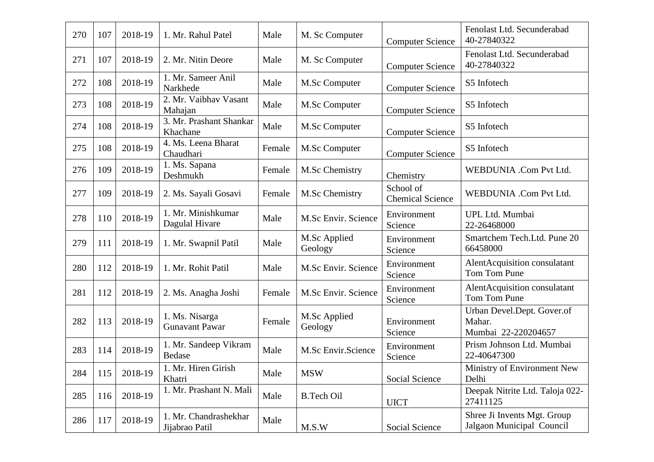| 270 | 107 | 2018-19 | 1. Mr. Rahul Patel                      | Male   | M. Sc Computer          | <b>Computer Science</b>              | Fenolast Ltd. Secunderabad<br>40-27840322                   |
|-----|-----|---------|-----------------------------------------|--------|-------------------------|--------------------------------------|-------------------------------------------------------------|
| 271 | 107 | 2018-19 | 2. Mr. Nitin Deore                      | Male   | M. Sc Computer          | <b>Computer Science</b>              | Fenolast Ltd. Secunderabad<br>40-27840322                   |
| 272 | 108 | 2018-19 | 1. Mr. Sameer Anil<br>Narkhede          | Male   | M.Sc Computer           | <b>Computer Science</b>              | S5 Infotech                                                 |
| 273 | 108 | 2018-19 | 2. Mr. Vaibhav Vasant<br>Mahajan        | Male   | M.Sc Computer           | <b>Computer Science</b>              | S5 Infotech                                                 |
| 274 | 108 | 2018-19 | 3. Mr. Prashant Shankar<br>Khachane     | Male   | M.Sc Computer           | <b>Computer Science</b>              | S5 Infotech                                                 |
| 275 | 108 | 2018-19 | 4. Ms. Leena Bharat<br>Chaudhari        | Female | M.Sc Computer           | <b>Computer Science</b>              | S5 Infotech                                                 |
| 276 | 109 | 2018-19 | 1. Ms. Sapana<br>Deshmukh               | Female | M.Sc Chemistry          | Chemistry                            | WEBDUNIA .Com Pvt Ltd.                                      |
| 277 | 109 | 2018-19 | 2. Ms. Sayali Gosavi                    | Female | M.Sc Chemistry          | School of<br><b>Chemical Science</b> | WEBDUNIA .Com Pvt Ltd.                                      |
| 278 | 110 | 2018-19 | 1. Mr. Minishkumar<br>Dagulal Hivare    | Male   | M.Sc Envir. Science     | Environment<br>Science               | UPL Ltd. Mumbai<br>22-26468000                              |
| 279 | 111 | 2018-19 | 1. Mr. Swapnil Patil                    | Male   | M.Sc Applied<br>Geology | Environment<br>Science               | Smartchem Tech.Ltd. Pune 20<br>66458000                     |
| 280 | 112 | 2018-19 | 1. Mr. Rohit Patil                      | Male   | M.Sc Envir. Science     | Environment<br>Science               | AlentAcquisition consulatant<br>Tom Tom Pune                |
| 281 | 112 | 2018-19 | 2. Ms. Anagha Joshi                     | Female | M.Sc Envir. Science     | Environment<br>Science               | AlentAcquisition consulatant<br>Tom Tom Pune                |
| 282 | 113 | 2018-19 | 1. Ms. Nisarga<br><b>Gunavant Pawar</b> | Female | M.Sc Applied<br>Geology | Environment<br>Science               | Urban Devel.Dept. Gover.of<br>Mahar.<br>Mumbai 22-220204657 |
| 283 | 114 | 2018-19 | 1. Mr. Sandeep Vikram<br>Bedase         | Male   | M.Sc Envir.Science      | Environment<br>Science               | Prism Johnson Ltd. Mumbai<br>22-40647300                    |
| 284 | 115 | 2018-19 | Mr. Hiren Girish<br>Khatri              | Male   | <b>MSW</b>              | Social Science                       | Ministry of Environment New<br>Delhi                        |
| 285 | 116 | 2018-19 | 1. Mr. Prashant N. Mali                 | Male   | <b>B.Tech Oil</b>       | <b>UICT</b>                          | Deepak Nitrite Ltd. Taloja 022-<br>27411125                 |
| 286 | 117 | 2018-19 | 1. Mr. Chandrashekhar<br>Jijabrao Patil | Male   | M.S.W                   | Social Science                       | Shree Ji Invents Mgt. Group<br>Jalgaon Municipal Council    |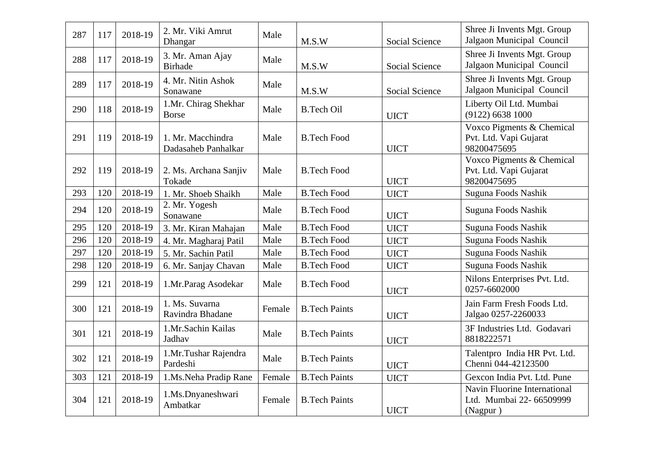| 287 | 117 | 2018-19 | 2. Mr. Viki Amrut<br>Dhangar             | Male   | M.S.W                | <b>Social Science</b> | Shree Ji Invents Mgt. Group<br>Jalgaon Municipal Council             |
|-----|-----|---------|------------------------------------------|--------|----------------------|-----------------------|----------------------------------------------------------------------|
| 288 | 117 | 2018-19 | 3. Mr. Aman Ajay<br><b>Birhade</b>       | Male   | M.S.W                | <b>Social Science</b> | Shree Ji Invents Mgt. Group<br>Jalgaon Municipal Council             |
| 289 | 117 | 2018-19 | 4. Mr. Nitin Ashok<br>Sonawane           | Male   | M.S.W                | Social Science        | Shree Ji Invents Mgt. Group<br>Jalgaon Municipal Council             |
| 290 | 118 | 2018-19 | 1.Mr. Chirag Shekhar<br><b>Borse</b>     | Male   | <b>B.Tech Oil</b>    | <b>UICT</b>           | Liberty Oil Ltd. Mumbai<br>$(9122)$ 6638 1000                        |
| 291 | 119 | 2018-19 | 1. Mr. Macchindra<br>Dadasaheb Panhalkar | Male   | <b>B.Tech Food</b>   | <b>UICT</b>           | Voxco Pigments & Chemical<br>Pvt. Ltd. Vapi Gujarat<br>98200475695   |
| 292 | 119 | 2018-19 | 2. Ms. Archana Sanjiv<br>Tokade          | Male   | <b>B.Tech Food</b>   | <b>UICT</b>           | Voxco Pigments & Chemical<br>Pvt. Ltd. Vapi Gujarat<br>98200475695   |
| 293 | 120 | 2018-19 | 1. Mr. Shoeb Shaikh                      | Male   | <b>B.Tech Food</b>   | <b>UICT</b>           | Suguna Foods Nashik                                                  |
| 294 | 120 | 2018-19 | 2. Mr. Yogesh<br>Sonawane                | Male   | <b>B.Tech Food</b>   | <b>UICT</b>           | Suguna Foods Nashik                                                  |
| 295 | 120 | 2018-19 | 3. Mr. Kiran Mahajan                     | Male   | <b>B.Tech Food</b>   | <b>UICT</b>           | Suguna Foods Nashik                                                  |
| 296 | 120 | 2018-19 | 4. Mr. Magharaj Patil                    | Male   | <b>B.Tech Food</b>   | <b>UICT</b>           | Suguna Foods Nashik                                                  |
| 297 | 120 | 2018-19 | 5. Mr. Sachin Patil                      | Male   | <b>B.Tech Food</b>   | <b>UICT</b>           | Suguna Foods Nashik                                                  |
| 298 | 120 | 2018-19 | 6. Mr. Sanjay Chavan                     | Male   | <b>B.Tech Food</b>   | <b>UICT</b>           | Suguna Foods Nashik                                                  |
| 299 | 121 | 2018-19 | 1.Mr.Parag Asodekar                      | Male   | <b>B.Tech Food</b>   | <b>UICT</b>           | Nilons Enterprises Pvt. Ltd.<br>0257-6602000                         |
| 300 | 121 | 2018-19 | 1. Ms. Suvarna<br>Ravindra Bhadane       | Female | <b>B.Tech Paints</b> | <b>UICT</b>           | Jain Farm Fresh Foods Ltd.<br>Jalgao 0257-2260033                    |
| 301 | 121 | 2018-19 | 1.Mr.Sachin Kailas<br>Jadhav             | Male   | <b>B.Tech Paints</b> | <b>UICT</b>           | 3F Industries Ltd. Godavari<br>8818222571                            |
| 302 | 121 | 2018-19 | 1.Mr.Tushar Rajendra<br>Pardeshi         | Male   | <b>B.Tech Paints</b> | <b>UICT</b>           | Talentpro India HR Pvt. Ltd.<br>Chenni 044-42123500                  |
| 303 | 121 | 2018-19 | 1.Ms.Neha Pradip Rane                    | Female | <b>B.Tech Paints</b> | <b>UICT</b>           | Gexcon India Pvt. Ltd. Pune                                          |
| 304 | 121 | 2018-19 | 1.Ms.Dnyaneshwari<br>Ambatkar            | Female | <b>B.Tech Paints</b> | <b>UICT</b>           | Navin Fluorine International<br>Ltd. Mumbai 22- 66509999<br>(Nagpur) |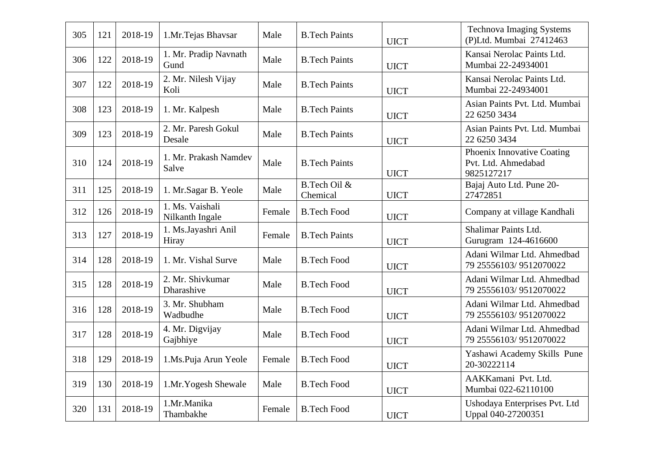| 305 | 121 | 2018-19 | 1.Mr.Tejas Bhavsar                 | Male   | <b>B.Tech Paints</b>     | <b>UICT</b> | <b>Technova Imaging Systems</b><br>(P)Ltd. Mumbai 27412463      |
|-----|-----|---------|------------------------------------|--------|--------------------------|-------------|-----------------------------------------------------------------|
| 306 | 122 | 2018-19 | 1. Mr. Pradip Navnath<br>Gund      | Male   | <b>B.Tech Paints</b>     | <b>UICT</b> | Kansai Nerolac Paints Ltd.<br>Mumbai 22-24934001                |
| 307 | 122 | 2018-19 | 2. Mr. Nilesh Vijay<br>Koli        | Male   | <b>B.Tech Paints</b>     | <b>UICT</b> | Kansai Nerolac Paints Ltd.<br>Mumbai 22-24934001                |
| 308 | 123 | 2018-19 | 1. Mr. Kalpesh                     | Male   | <b>B.Tech Paints</b>     | <b>UICT</b> | Asian Paints Pvt. Ltd. Mumbai<br>22 6250 3434                   |
| 309 | 123 | 2018-19 | 2. Mr. Paresh Gokul<br>Desale      | Male   | <b>B.Tech Paints</b>     | <b>UICT</b> | Asian Paints Pvt. Ltd. Mumbai<br>22 6250 3434                   |
| 310 | 124 | 2018-19 | 1. Mr. Prakash Namdev<br>Salve     | Male   | <b>B.Tech Paints</b>     | <b>UICT</b> | Phoenix Innovative Coating<br>Pvt. Ltd. Ahmedabad<br>9825127217 |
| 311 | 125 | 2018-19 | 1. Mr.Sagar B. Yeole               | Male   | B.Tech Oil &<br>Chemical | <b>UICT</b> | Bajaj Auto Ltd. Pune 20-<br>27472851                            |
| 312 | 126 | 2018-19 | 1. Ms. Vaishali<br>Nilkanth Ingale | Female | <b>B.Tech Food</b>       | <b>UICT</b> | Company at village Kandhali                                     |
| 313 | 127 | 2018-19 | 1. Ms.Jayashri Anil<br>Hiray       | Female | <b>B.Tech Paints</b>     | <b>UICT</b> | Shalimar Paints Ltd.<br>Gurugram 124-4616600                    |
| 314 | 128 | 2018-19 | 1. Mr. Vishal Surve                | Male   | <b>B.Tech Food</b>       | <b>UICT</b> | Adani Wilmar Ltd. Ahmedbad<br>79 25556103/9512070022            |
| 315 | 128 | 2018-19 | 2. Mr. Shivkumar<br>Dharashive     | Male   | <b>B.Tech Food</b>       | <b>UICT</b> | Adani Wilmar Ltd. Ahmedbad<br>79 25556103/9512070022            |
| 316 | 128 | 2018-19 | 3. Mr. Shubham<br>Wadbudhe         | Male   | <b>B.Tech Food</b>       | <b>UICT</b> | Adani Wilmar Ltd. Ahmedbad<br>79 25556103/9512070022            |
| 317 | 128 | 2018-19 | 4. Mr. Digvijay<br>Gajbhiye        | Male   | <b>B.Tech Food</b>       | <b>UICT</b> | Adani Wilmar Ltd. Ahmedbad<br>79 25556103/9512070022            |
| 318 | 129 | 2018-19 | 1.Ms.Puja Arun Yeole               | Female | <b>B.Tech Food</b>       | <b>UICT</b> | Yashawi Academy Skills Pune<br>20-30222114                      |
| 319 | 130 | 2018-19 | 1.Mr.Yogesh Shewale                | Male   | <b>B.Tech Food</b>       | <b>UICT</b> | AAKKamani Pvt. Ltd.<br>Mumbai 022-62110100                      |
| 320 | 131 | 2018-19 | 1.Mr.Manika<br>Thambakhe           | Female | <b>B.Tech Food</b>       | <b>UICT</b> | Ushodaya Enterprises Pvt. Ltd<br>Uppal 040-27200351             |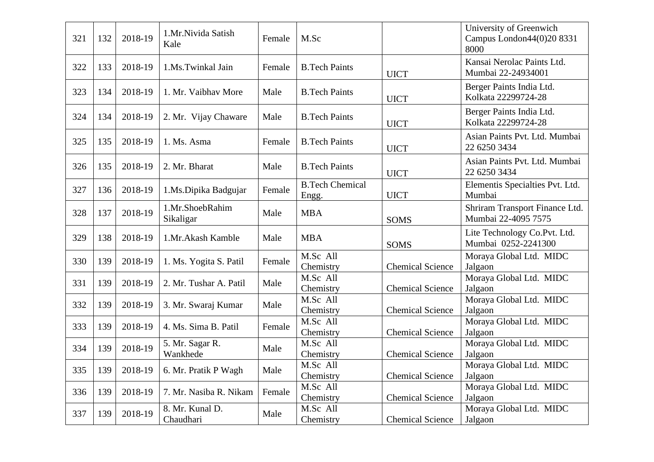| 321 | 132 | 2018-19 | 1.Mr.Nivida Satish<br>Kale   | Female | M.Sc                                |                         | University of Greenwich<br>Campus London44(0)20 8331<br>8000 |
|-----|-----|---------|------------------------------|--------|-------------------------------------|-------------------------|--------------------------------------------------------------|
| 322 | 133 | 2018-19 | 1.Ms.Twinkal Jain            | Female | <b>B.Tech Paints</b>                | <b>UICT</b>             | Kansai Nerolac Paints Ltd.<br>Mumbai 22-24934001             |
| 323 | 134 | 2018-19 | 1. Mr. Vaibhav More          | Male   | <b>B.Tech Paints</b>                | <b>UICT</b>             | Berger Paints India Ltd.<br>Kolkata 22299724-28              |
| 324 | 134 | 2018-19 | 2. Mr. Vijay Chaware         | Male   | <b>B.Tech Paints</b>                | <b>UICT</b>             | Berger Paints India Ltd.<br>Kolkata 22299724-28              |
| 325 | 135 | 2018-19 | 1. Ms. Asma                  | Female | <b>B.Tech Paints</b>                | <b>UICT</b>             | Asian Paints Pvt. Ltd. Mumbai<br>22 6250 3434                |
| 326 | 135 | 2018-19 | 2. Mr. Bharat                | Male   | <b>B.Tech Paints</b>                | <b>UICT</b>             | Asian Paints Pvt. Ltd. Mumbai<br>22 6250 3434                |
| 327 | 136 | 2018-19 | 1.Ms.Dipika Badgujar         | Female | <b>B.Tech Chemical</b><br>Engg.     | <b>UICT</b>             | Elementis Specialties Pvt. Ltd.<br>Mumbai                    |
| 328 | 137 | 2018-19 | 1.Mr.ShoebRahim<br>Sikaligar | Male   | <b>MBA</b>                          | <b>SOMS</b>             | Shriram Transport Finance Ltd.<br>Mumbai 22-4095 7575        |
| 329 | 138 | 2018-19 | 1.Mr.Akash Kamble            | Male   | <b>MBA</b>                          | SOMS                    | Lite Technology Co.Pvt. Ltd.<br>Mumbai 0252-2241300          |
| 330 | 139 | 2018-19 | 1. Ms. Yogita S. Patil       | Female | M.Sc All<br>Chemistry               | <b>Chemical Science</b> | Moraya Global Ltd. MIDC<br>Jalgaon                           |
| 331 | 139 | 2018-19 | 2. Mr. Tushar A. Patil       | Male   | M.Sc All<br>Chemistry               | <b>Chemical Science</b> | Moraya Global Ltd. MIDC<br>Jalgaon                           |
| 332 | 139 | 2018-19 | 3. Mr. Swaraj Kumar          | Male   | M.Sc All<br>Chemistry               | <b>Chemical Science</b> | Moraya Global Ltd. MIDC<br>Jalgaon                           |
| 333 | 139 | 2018-19 | 4. Ms. Sima B. Patil         | Female | M.Sc All<br>Chemistry               | <b>Chemical Science</b> | Moraya Global Ltd. MIDC<br>Jalgaon                           |
| 334 | 139 | 2018-19 | 5. Mr. Sagar R.<br>Wankhede  | Male   | $\overline{M}$ .Sc All<br>Chemistry | <b>Chemical Science</b> | Moraya Global Ltd. MIDC<br>Jalgaon                           |
| 335 | 139 | 2018-19 | 6. Mr. Pratik P Wagh         | Male   | M.Sc All<br>Chemistry               | <b>Chemical Science</b> | Moraya Global Ltd. MIDC<br>Jalgaon                           |
| 336 | 139 | 2018-19 | 7. Mr. Nasiba R. Nikam       | Female | M.Sc All<br>Chemistry               | <b>Chemical Science</b> | Moraya Global Ltd. MIDC<br>Jalgaon                           |
| 337 | 139 | 2018-19 | 8. Mr. Kunal D.<br>Chaudhari | Male   | M.Sc All<br>Chemistry               | <b>Chemical Science</b> | Moraya Global Ltd. MIDC<br>Jalgaon                           |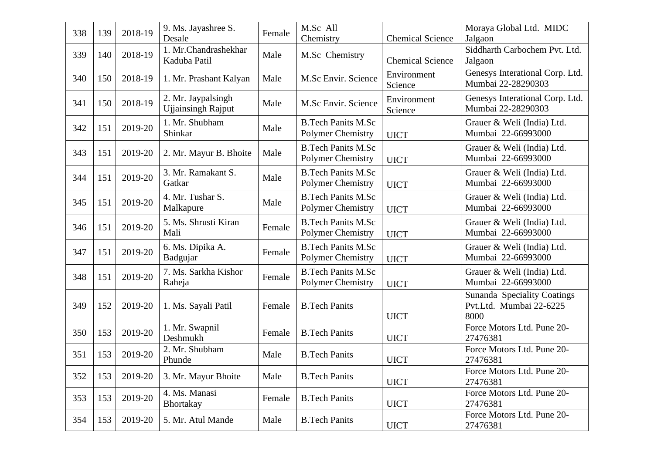| 338 | 139 | 2018-19 | 9. Ms. Jayashree S.       | Female | M.Sc All                  |                         | Moraya Global Ltd. MIDC         |
|-----|-----|---------|---------------------------|--------|---------------------------|-------------------------|---------------------------------|
|     |     |         | Desale                    |        | Chemistry                 | <b>Chemical Science</b> | Jalgaon                         |
| 339 | 140 | 2018-19 | 1. Mr.Chandrashekhar      | Male   | M.Sc Chemistry            |                         | Siddharth Carbochem Pvt. Ltd.   |
|     |     |         | Kaduba Patil              |        |                           | <b>Chemical Science</b> | Jalgaon                         |
|     |     |         |                           |        |                           | Environment             | Genesys Interational Corp. Ltd. |
| 340 | 150 | 2018-19 | 1. Mr. Prashant Kalyan    | Male   | M.Sc Envir. Science       | Science                 | Mumbai 22-28290303              |
|     |     |         | 2. Mr. Jaypalsingh        |        |                           | Environment             | Genesys Interational Corp. Ltd. |
| 341 | 150 | 2018-19 | <b>Ujjainsingh Rajput</b> | Male   | M.Sc Envir. Science       |                         | Mumbai 22-28290303              |
|     |     |         |                           |        |                           | Science                 |                                 |
| 342 | 151 | 2019-20 | 1. Mr. Shubham            | Male   | <b>B.Tech Panits M.Sc</b> |                         | Grauer & Weli (India) Ltd.      |
|     |     |         | Shinkar                   |        | <b>Polymer Chemistry</b>  | <b>UICT</b>             | Mumbai 22-66993000              |
| 343 |     | 2019-20 |                           |        | <b>B.Tech Panits M.Sc</b> |                         | Grauer & Weli (India) Ltd.      |
|     | 151 |         | 2. Mr. Mayur B. Bhoite    | Male   | Polymer Chemistry         | <b>UICT</b>             | Mumbai 22-66993000              |
|     |     |         | 3. Mr. Ramakant S.        |        | <b>B.Tech Panits M.Sc</b> |                         | Grauer & Weli (India) Ltd.      |
| 344 | 151 | 2019-20 | Gatkar                    | Male   | <b>Polymer Chemistry</b>  | <b>UICT</b>             | Mumbai 22-66993000              |
|     |     |         |                           |        |                           |                         |                                 |
| 345 | 151 | 2019-20 | 4. Mr. Tushar S.          | Male   | <b>B.Tech Panits M.Sc</b> |                         | Grauer & Weli (India) Ltd.      |
|     |     |         | Malkapure                 |        | <b>Polymer Chemistry</b>  | <b>UICT</b>             | Mumbai 22-66993000              |
| 346 | 151 | 2019-20 | 5. Ms. Shrusti Kiran      | Female | <b>B.Tech Panits M.Sc</b> |                         | Grauer & Weli (India) Ltd.      |
|     |     |         | Mali                      |        | Polymer Chemistry         | <b>UICT</b>             | Mumbai 22-66993000              |
|     |     |         | 6. Ms. Dipika A.          |        | <b>B.Tech Panits M.Sc</b> |                         | Grauer & Weli (India) Ltd.      |
| 347 | 151 | 2019-20 | Badgujar                  | Female | Polymer Chemistry         | <b>UICT</b>             | Mumbai 22-66993000              |
|     |     |         |                           |        |                           |                         |                                 |
| 348 | 151 | 2019-20 | 7. Ms. Sarkha Kishor      | Female | <b>B.Tech Panits M.Sc</b> |                         | Grauer & Weli (India) Ltd.      |
|     |     |         | Raheja                    |        | <b>Polymer Chemistry</b>  | <b>UICT</b>             | Mumbai 22-66993000              |
|     |     |         |                           |        |                           |                         | Sunanda Speciality Coatings     |
| 349 | 152 | 2019-20 | 1. Ms. Sayali Patil       | Female | <b>B.Tech Panits</b>      |                         | Pvt.Ltd. Mumbai 22-6225         |
|     |     |         |                           |        |                           | <b>UICT</b>             | 8000                            |
| 350 | 153 | 2019-20 | 1. Mr. Swapnil            | Female | <b>B.Tech Panits</b>      |                         | Force Motors Ltd. Pune 20-      |
|     |     |         | Deshmukh                  |        |                           | <b>UICT</b>             | 27476381                        |
| 351 | 153 | 2019-20 | 2. Mr. Shubham            | Male   | <b>B.Tech Panits</b>      |                         | Force Motors Ltd. Pune 20-      |
|     |     |         | Phunde                    |        |                           | <b>UICT</b>             | 27476381                        |
| 352 | 153 | 2019-20 | 3. Mr. Mayur Bhoite       | Male   | <b>B.Tech Panits</b>      |                         | Force Motors Ltd. Pune 20-      |
|     |     |         |                           |        |                           | <b>UICT</b>             | 27476381                        |
|     |     |         | 4. Ms. Manasi             |        |                           |                         | Force Motors Ltd. Pune 20-      |
| 353 | 153 | 2019-20 | <b>Bhortakay</b>          | Female | <b>B.Tech Panits</b>      | <b>UICT</b>             | 27476381                        |
|     |     |         |                           |        |                           |                         | Force Motors Ltd. Pune 20-      |
| 354 | 153 | 2019-20 | 5. Mr. Atul Mande         | Male   | <b>B.Tech Panits</b>      | <b>UICT</b>             | 27476381                        |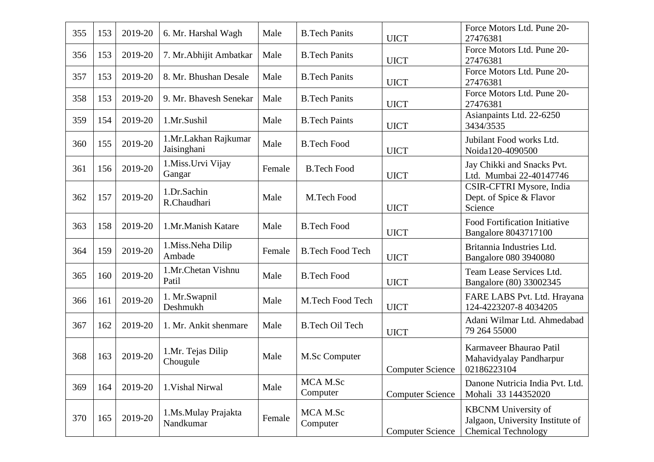| 355 | 153 | 2019-20 | 6. Mr. Harshal Wagh                 | Male   | <b>B.Tech Panits</b>    | <b>UICT</b>             | Force Motors Ltd. Pune 20-<br>27476381                                                       |
|-----|-----|---------|-------------------------------------|--------|-------------------------|-------------------------|----------------------------------------------------------------------------------------------|
| 356 | 153 | 2019-20 | 7. Mr. Abhijit Ambatkar             | Male   | <b>B.Tech Panits</b>    | <b>UICT</b>             | Force Motors Ltd. Pune 20-<br>27476381                                                       |
| 357 | 153 | 2019-20 | 8. Mr. Bhushan Desale               | Male   | <b>B.Tech Panits</b>    | <b>UICT</b>             | Force Motors Ltd. Pune 20-<br>27476381                                                       |
| 358 | 153 | 2019-20 | 9. Mr. Bhavesh Senekar              | Male   | <b>B.Tech Panits</b>    | <b>UICT</b>             | Force Motors Ltd. Pune 20-<br>27476381                                                       |
| 359 | 154 | 2019-20 | 1.Mr.Sushil                         | Male   | <b>B.Tech Paints</b>    | <b>UICT</b>             | Asianpaints Ltd. 22-6250<br>3434/3535                                                        |
| 360 | 155 | 2019-20 | 1.Mr.Lakhan Rajkumar<br>Jaisinghani | Male   | <b>B.Tech Food</b>      | <b>UICT</b>             | Jubilant Food works Ltd.<br>Noida120-4090500                                                 |
| 361 | 156 | 2019-20 | 1.Miss.Urvi Vijay<br>Gangar         | Female | <b>B.Tech Food</b>      | <b>UICT</b>             | Jay Chikki and Snacks Pvt.<br>Ltd. Mumbai 22-40147746                                        |
| 362 | 157 | 2019-20 | 1.Dr.Sachin<br>R.Chaudhari          | Male   | M.Tech Food             | <b>UICT</b>             | CSIR-CFTRI Mysore, India<br>Dept. of Spice & Flavor<br>Science                               |
| 363 | 158 | 2019-20 | 1.Mr.Manish Katare                  | Male   | <b>B.Tech Food</b>      | <b>UICT</b>             | <b>Food Fortification Initiative</b><br>Bangalore 8043717100                                 |
| 364 | 159 | 2019-20 | 1.Miss.Neha Dilip<br>Ambade         | Female | <b>B.Tech Food Tech</b> | <b>UICT</b>             | Britannia Industries Ltd.<br>Bangalore 080 3940080                                           |
| 365 | 160 | 2019-20 | 1.Mr.Chetan Vishnu<br>Patil         | Male   | <b>B.Tech Food</b>      | <b>UICT</b>             | Team Lease Services Ltd.<br>Bangalore (80) 33002345                                          |
| 366 | 161 | 2019-20 | 1. Mr.Swapnil<br>Deshmukh           | Male   | M.Tech Food Tech        | <b>UICT</b>             | FARE LABS Pvt. Ltd. Hrayana<br>124-4223207-8 4034205                                         |
| 367 | 162 | 2019-20 | 1. Mr. Ankit shenmare               | Male   | <b>B.Tech Oil Tech</b>  | <b>UICT</b>             | Adani Wilmar Ltd. Ahmedabad<br>79 264 55000                                                  |
| 368 | 163 | 2019-20 | 1.Mr. Tejas Dilip<br>Chougule       | Male   | M.Sc Computer           | <b>Computer Science</b> | Karmaveer Bhaurao Patil<br>Mahavidyalay Pandharpur<br>02186223104                            |
| 369 | 164 | 2019-20 | 1. Vishal Nirwal                    | Male   | MCA M.Sc<br>Computer    | <b>Computer Science</b> | Danone Nutricia India Pvt. Ltd.<br>Mohali 33 144352020                                       |
| 370 | 165 | 2019-20 | 1.Ms.Mulay Prajakta<br>Nandkumar    | Female | MCA M.Sc<br>Computer    | <b>Computer Science</b> | <b>KBCNM</b> University of<br>Jalgaon, University Institute of<br><b>Chemical Technology</b> |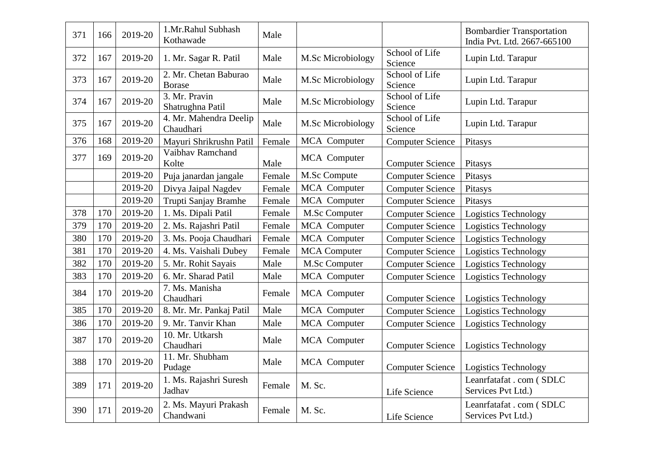| 371 | 166 | 2019-20 | 1.Mr.Rahul Subhash<br>Kothawade        | Male   |                     |                           | <b>Bombardier Transportation</b><br>India Pvt. Ltd. 2667-665100 |
|-----|-----|---------|----------------------------------------|--------|---------------------|---------------------------|-----------------------------------------------------------------|
| 372 | 167 | 2019-20 | 1. Mr. Sagar R. Patil                  | Male   | M.Sc Microbiology   | School of Life<br>Science | Lupin Ltd. Tarapur                                              |
| 373 | 167 | 2019-20 | 2. Mr. Chetan Baburao<br><b>Borase</b> | Male   | M.Sc Microbiology   | School of Life<br>Science | Lupin Ltd. Tarapur                                              |
| 374 | 167 | 2019-20 | 3. Mr. Pravin<br>Shatrughna Patil      | Male   | M.Sc Microbiology   | School of Life<br>Science | Lupin Ltd. Tarapur                                              |
| 375 | 167 | 2019-20 | 4. Mr. Mahendra Deelip<br>Chaudhari    | Male   | M.Sc Microbiology   | School of Life<br>Science | Lupin Ltd. Tarapur                                              |
| 376 | 168 | 2019-20 | Mayuri Shrikrushn Patil                | Female | MCA Computer        | <b>Computer Science</b>   | Pitasys                                                         |
| 377 | 169 | 2019-20 | Vaibhay Ramchand<br>Kolte              | Male   | <b>MCA</b> Computer | <b>Computer Science</b>   | Pitasys                                                         |
|     |     | 2019-20 | Puja janardan jangale                  | Female | M.Sc Compute        | <b>Computer Science</b>   | Pitasys                                                         |
|     |     | 2019-20 | Divya Jaipal Nagdev                    | Female | MCA Computer        | <b>Computer Science</b>   | Pitasys                                                         |
|     |     | 2019-20 | Trupti Sanjay Bramhe                   | Female | MCA Computer        | <b>Computer Science</b>   | Pitasys                                                         |
| 378 | 170 | 2019-20 | 1. Ms. Dipali Patil                    | Female | M.Sc Computer       | <b>Computer Science</b>   | Logistics Technology                                            |
| 379 | 170 | 2019-20 | 2. Ms. Rajashri Patil                  | Female | MCA Computer        | <b>Computer Science</b>   | <b>Logistics Technology</b>                                     |
| 380 | 170 | 2019-20 | 3. Ms. Pooja Chaudhari                 | Female | MCA Computer        | <b>Computer Science</b>   | Logistics Technology                                            |
| 381 | 170 | 2019-20 | 4. Ms. Vaishali Dubey                  | Female | <b>MCA</b> Computer | <b>Computer Science</b>   | Logistics Technology                                            |
| 382 | 170 | 2019-20 | 5. Mr. Rohit Sayais                    | Male   | M.Sc Computer       | <b>Computer Science</b>   | <b>Logistics Technology</b>                                     |
| 383 | 170 | 2019-20 | 6. Mr. Sharad Patil                    | Male   | MCA Computer        | <b>Computer Science</b>   | <b>Logistics Technology</b>                                     |
| 384 | 170 | 2019-20 | 7. Ms. Manisha<br>Chaudhari            | Female | MCA Computer        | <b>Computer Science</b>   | <b>Logistics Technology</b>                                     |
| 385 | 170 | 2019-20 | 8. Mr. Mr. Pankaj Patil                | Male   | MCA Computer        | <b>Computer Science</b>   | <b>Logistics Technology</b>                                     |
| 386 | 170 | 2019-20 | 9. Mr. Tanvir Khan                     | Male   | MCA Computer        | <b>Computer Science</b>   | <b>Logistics Technology</b>                                     |
| 387 | 170 | 2019-20 | 10. Mr. Utkarsh<br>Chaudhari           | Male   | MCA Computer        | <b>Computer Science</b>   | <b>Logistics Technology</b>                                     |
| 388 | 170 | 2019-20 | 11. Mr. Shubham<br>Pudage              | Male   | MCA Computer        | <b>Computer Science</b>   | Logistics Technology                                            |
| 389 | 171 | 2019-20 | 1. Ms. Rajashri Suresh<br>Jadhav       | Female | M. Sc.              | Life Science              | Leanrfatafat . com (SDLC<br>Services Pvt Ltd.)                  |
| 390 | 171 | 2019-20 | 2. Ms. Mayuri Prakash<br>Chandwani     | Female | M. Sc.              | Life Science              | Leanrfatafat . com (SDLC<br>Services Pvt Ltd.)                  |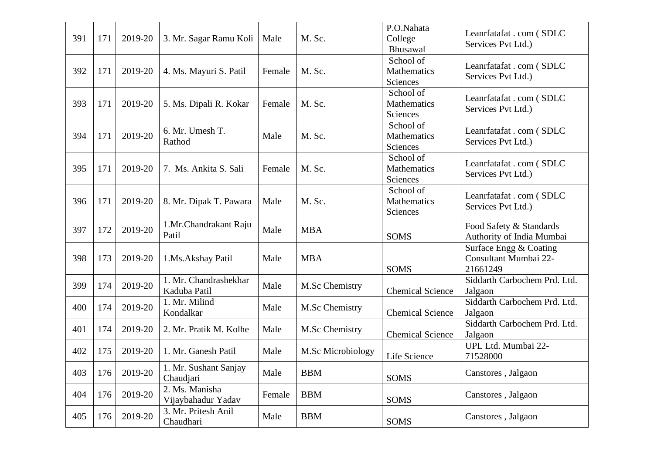| 391 | 171 | 2019-20 | 3. Mr. Sagar Ramu Koli                | Male   | M. Sc.            | P.O.Nahata<br>College<br>Bhusawal    | Leanrfatafat . com (SDLC<br>Services Pvt Ltd.)              |
|-----|-----|---------|---------------------------------------|--------|-------------------|--------------------------------------|-------------------------------------------------------------|
| 392 | 171 | 2019-20 | 4. Ms. Mayuri S. Patil                | Female | M. Sc.            | School of<br>Mathematics<br>Sciences | Leanrfatafat . com (SDLC<br>Services Pvt Ltd.)              |
| 393 | 171 | 2019-20 | 5. Ms. Dipali R. Kokar                | Female | M. Sc.            | School of<br>Mathematics<br>Sciences | Leanrfatafat . com (SDLC<br>Services Pvt Ltd.)              |
| 394 | 171 | 2019-20 | 6. Mr. Umesh T.<br>Rathod             | Male   | M. Sc.            | School of<br>Mathematics<br>Sciences | Leanrfatafat . com (SDLC<br>Services Pvt Ltd.)              |
| 395 | 171 | 2019-20 | 7. Ms. Ankita S. Sali                 | Female | M. Sc.            | School of<br>Mathematics<br>Sciences | Leanrfatafat . com (SDLC<br>Services Pvt Ltd.)              |
| 396 | 171 | 2019-20 | 8. Mr. Dipak T. Pawara                | Male   | M. Sc.            | School of<br>Mathematics<br>Sciences | Leanrfatafat . com (SDLC<br>Services Pvt Ltd.)              |
| 397 | 172 | 2019-20 | 1.Mr.Chandrakant Raju<br>Patil        | Male   | <b>MBA</b>        | <b>SOMS</b>                          | Food Safety & Standards<br>Authority of India Mumbai        |
| 398 | 173 | 2019-20 | 1.Ms.Akshay Patil                     | Male   | <b>MBA</b>        | <b>SOMS</b>                          | Surface Engg & Coating<br>Consultant Mumbai 22-<br>21661249 |
| 399 | 174 | 2019-20 | 1. Mr. Chandrashekhar<br>Kaduba Patil | Male   | M.Sc Chemistry    | <b>Chemical Science</b>              | Siddarth Carbochem Prd. Ltd.<br>Jalgaon                     |
| 400 | 174 | 2019-20 | 1. Mr. Milind<br>Kondalkar            | Male   | M.Sc Chemistry    | <b>Chemical Science</b>              | Siddarth Carbochem Prd. Ltd.<br>Jalgaon                     |
| 401 | 174 | 2019-20 | 2. Mr. Pratik M. Kolhe                | Male   | M.Sc Chemistry    | <b>Chemical Science</b>              | Siddarth Carbochem Prd. Ltd.<br>Jalgaon                     |
| 402 | 175 | 2019-20 | 1. Mr. Ganesh Patil                   | Male   | M.Sc Microbiology | Life Science                         | UPL Ltd. Mumbai 22-<br>71528000                             |
| 403 | 176 | 2019-20 | 1. Mr. Sushant Sanjay<br>Chaudjari    | Male   | <b>BBM</b>        | <b>SOMS</b>                          | Canstores, Jalgaon                                          |
| 404 | 176 | 2019-20 | 2. Ms. Manisha<br>Vijaybahadur Yadav  | Female | <b>BBM</b>        | <b>SOMS</b>                          | Canstores, Jalgaon                                          |
| 405 | 176 | 2019-20 | 3. Mr. Pritesh Anil<br>Chaudhari      | Male   | <b>BBM</b>        | <b>SOMS</b>                          | Canstores, Jalgaon                                          |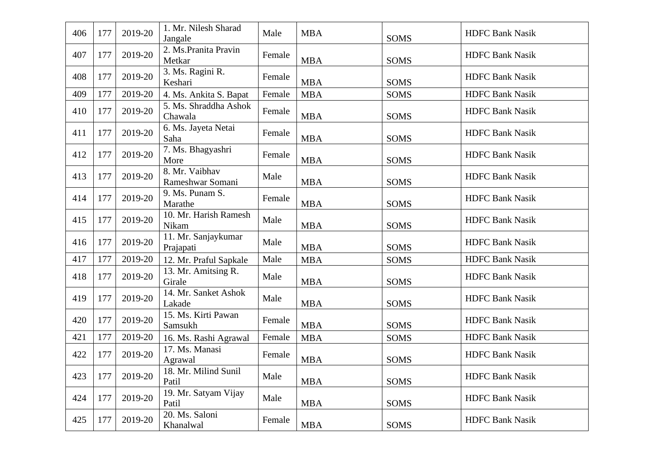| 406 | 177 | 2019-20 | 1. Mr. Nilesh Sharad<br>Jangale    | Male   | <b>MBA</b> | <b>SOMS</b> | <b>HDFC Bank Nasik</b> |
|-----|-----|---------|------------------------------------|--------|------------|-------------|------------------------|
| 407 | 177 | 2019-20 | 2. Ms.Pranita Pravin<br>Metkar     | Female | <b>MBA</b> | <b>SOMS</b> | <b>HDFC Bank Nasik</b> |
| 408 | 177 | 2019-20 | 3. Ms. Ragini R.<br>Keshari        | Female | <b>MBA</b> | <b>SOMS</b> | <b>HDFC Bank Nasik</b> |
| 409 | 177 | 2019-20 | 4. Ms. Ankita S. Bapat             | Female | <b>MBA</b> | <b>SOMS</b> | <b>HDFC Bank Nasik</b> |
| 410 | 177 | 2019-20 | 5. Ms. Shraddha Ashok<br>Chawala   | Female | <b>MBA</b> | <b>SOMS</b> | <b>HDFC Bank Nasik</b> |
| 411 | 177 | 2019-20 | 6. Ms. Jayeta Netai<br>Saha        | Female | <b>MBA</b> | SOMS        | <b>HDFC Bank Nasik</b> |
| 412 | 177 | 2019-20 | 7. Ms. Bhagyashri<br>More          | Female | <b>MBA</b> | <b>SOMS</b> | <b>HDFC Bank Nasik</b> |
| 413 | 177 | 2019-20 | 8. Mr. Vaibhav<br>Rameshwar Somani | Male   | <b>MBA</b> | <b>SOMS</b> | <b>HDFC Bank Nasik</b> |
| 414 | 177 | 2019-20 | 9. Ms. Punam S.<br>Marathe         | Female | <b>MBA</b> | <b>SOMS</b> | <b>HDFC Bank Nasik</b> |
| 415 | 177 | 2019-20 | 10. Mr. Harish Ramesh<br>Nikam     | Male   | <b>MBA</b> | <b>SOMS</b> | <b>HDFC Bank Nasik</b> |
| 416 | 177 | 2019-20 | 11. Mr. Sanjaykumar<br>Prajapati   | Male   | <b>MBA</b> | <b>SOMS</b> | <b>HDFC Bank Nasik</b> |
| 417 | 177 | 2019-20 | 12. Mr. Praful Sapkale             | Male   | <b>MBA</b> | <b>SOMS</b> | <b>HDFC Bank Nasik</b> |
| 418 | 177 | 2019-20 | 13. Mr. Amitsing R.<br>Girale      | Male   | <b>MBA</b> | <b>SOMS</b> | <b>HDFC Bank Nasik</b> |
| 419 | 177 | 2019-20 | 14. Mr. Sanket Ashok<br>Lakade     | Male   | <b>MBA</b> | <b>SOMS</b> | <b>HDFC Bank Nasik</b> |
| 420 | 177 | 2019-20 | 15. Ms. Kirti Pawan<br>Samsukh     | Female | <b>MBA</b> | <b>SOMS</b> | <b>HDFC Bank Nasik</b> |
| 421 | 177 | 2019-20 | 16. Ms. Rashi Agrawal              | Female | <b>MBA</b> | <b>SOMS</b> | <b>HDFC Bank Nasik</b> |
| 422 | 177 | 2019-20 | 17. Ms. Manasi<br>Agrawal          | Female | <b>MBA</b> | <b>SOMS</b> | <b>HDFC Bank Nasik</b> |
| 423 | 177 | 2019-20 | 18. Mr. Milind Sunil<br>Patil      | Male   | <b>MBA</b> | <b>SOMS</b> | <b>HDFC Bank Nasik</b> |
| 424 | 177 | 2019-20 | 19. Mr. Satyam Vijay<br>Patil      | Male   | <b>MBA</b> | <b>SOMS</b> | <b>HDFC Bank Nasik</b> |
| 425 | 177 | 2019-20 | 20. Ms. Saloni<br>Khanalwal        | Female | <b>MBA</b> | <b>SOMS</b> | <b>HDFC Bank Nasik</b> |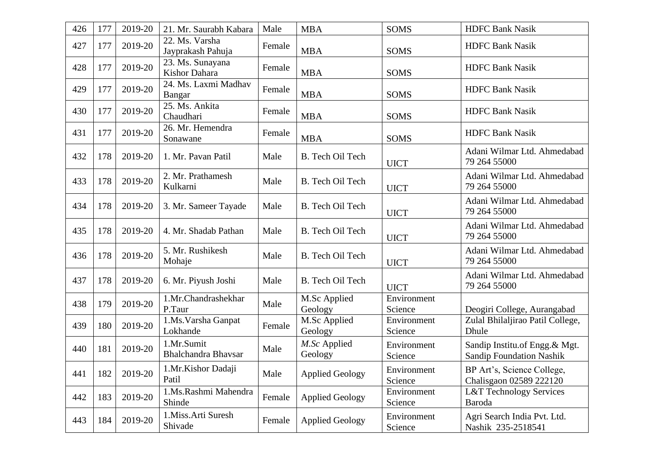| 426 | 177 | 2019-20 | 21. Mr. Saurabh Kabara              | Male   | <b>MBA</b>              | <b>SOMS</b>            | <b>HDFC Bank Nasik</b>                                           |
|-----|-----|---------|-------------------------------------|--------|-------------------------|------------------------|------------------------------------------------------------------|
| 427 | 177 | 2019-20 | 22. Ms. Varsha<br>Jayprakash Pahuja | Female | <b>MBA</b>              | <b>SOMS</b>            | <b>HDFC Bank Nasik</b>                                           |
| 428 | 177 | 2019-20 | 23. Ms. Sunayana<br>Kishor Dahara   | Female | <b>MBA</b>              | <b>SOMS</b>            | <b>HDFC Bank Nasik</b>                                           |
| 429 | 177 | 2019-20 | 24. Ms. Laxmi Madhav<br>Bangar      | Female | <b>MBA</b>              | <b>SOMS</b>            | <b>HDFC Bank Nasik</b>                                           |
| 430 | 177 | 2019-20 | 25. Ms. Ankita<br>Chaudhari         | Female | <b>MBA</b>              | <b>SOMS</b>            | <b>HDFC Bank Nasik</b>                                           |
| 431 | 177 | 2019-20 | 26. Mr. Hemendra<br>Sonawane        | Female | <b>MBA</b>              | <b>SOMS</b>            | <b>HDFC Bank Nasik</b>                                           |
| 432 | 178 | 2019-20 | 1. Mr. Pavan Patil                  | Male   | B. Tech Oil Tech        | <b>UICT</b>            | Adani Wilmar Ltd. Ahmedabad<br>79 264 55000                      |
| 433 | 178 | 2019-20 | 2. Mr. Prathamesh<br>Kulkarni       | Male   | B. Tech Oil Tech        | <b>UICT</b>            | Adani Wilmar Ltd. Ahmedabad<br>79 264 55000                      |
| 434 | 178 | 2019-20 | 3. Mr. Sameer Tayade                | Male   | B. Tech Oil Tech        | <b>UICT</b>            | Adani Wilmar Ltd. Ahmedabad<br>79 264 55000                      |
| 435 | 178 | 2019-20 | 4. Mr. Shadab Pathan                | Male   | B. Tech Oil Tech        | <b>UICT</b>            | Adani Wilmar Ltd. Ahmedabad<br>79 264 55000                      |
| 436 | 178 | 2019-20 | 5. Mr. Rushikesh<br>Mohaje          | Male   | B. Tech Oil Tech        | <b>UICT</b>            | Adani Wilmar Ltd. Ahmedabad<br>79 264 55000                      |
| 437 | 178 | 2019-20 | 6. Mr. Piyush Joshi                 | Male   | B. Tech Oil Tech        | <b>UICT</b>            | Adani Wilmar Ltd. Ahmedabad<br>79 264 55000                      |
| 438 | 179 | 2019-20 | 1.Mr.Chandrashekhar<br>P.Taur       | Male   | M.Sc Applied<br>Geology | Environment<br>Science | Deogiri College, Aurangabad                                      |
| 439 | 180 | 2019-20 | 1.Ms. Varsha Ganpat<br>Lokhande     | Female | M.Sc Applied<br>Geology | Environment<br>Science | Zulal Bhilaljirao Patil College,<br>Dhule                        |
| 440 | 181 | 2019-20 | 1.Mr.Sumit<br>Bhalchandra Bhavsar   | Male   | M.Sc Applied<br>Geology | Environment<br>Science | Sandip Institu.of Engg.& Mgt.<br><b>Sandip Foundation Nashik</b> |
| 441 | 182 | 2019-20 | 1.Mr.Kishor Dadaji<br>Patil         | Male   | <b>Applied Geology</b>  | Environment<br>Science | BP Art's, Science College,<br>Chalisgaon 02589 222120            |
| 442 | 183 | 2019-20 | 1.Ms.Rashmi Mahendra<br>Shinde      | Female | <b>Applied Geology</b>  | Environment<br>Science | <b>L&amp;T</b> Technology Services<br>Baroda                     |
| 443 | 184 | 2019-20 | 1. Miss. Arti Suresh<br>Shivade     | Female | <b>Applied Geology</b>  | Environment<br>Science | Agri Search India Pvt. Ltd.<br>Nashik 235-2518541                |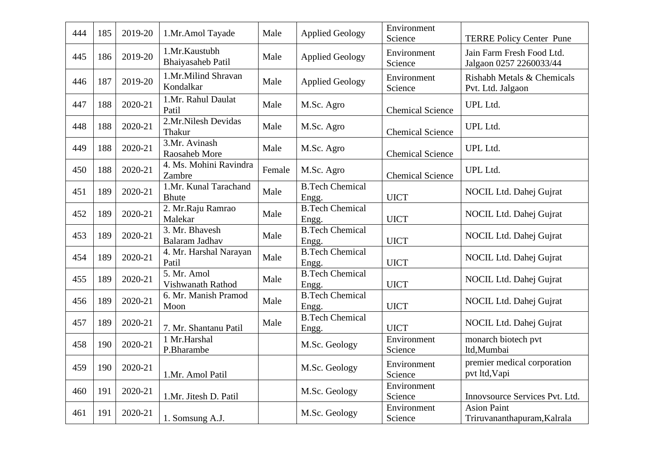| 444 | 185 | 2019-20 | 1.Mr.Amol Tayade                      | Male   | <b>Applied Geology</b>          | Environment<br>Science  | <b>TERRE Policy Center Pune</b>                      |
|-----|-----|---------|---------------------------------------|--------|---------------------------------|-------------------------|------------------------------------------------------|
| 445 | 186 | 2019-20 | 1.Mr.Kaustubh<br>Bhaiyasaheb Patil    | Male   | <b>Applied Geology</b>          | Environment<br>Science  | Jain Farm Fresh Food Ltd.<br>Jalgaon 0257 2260033/44 |
| 446 | 187 | 2019-20 | 1.Mr.Milind Shravan<br>Kondalkar      | Male   | <b>Applied Geology</b>          | Environment<br>Science  | Rishabh Metals & Chemicals<br>Pvt. Ltd. Jalgaon      |
| 447 | 188 | 2020-21 | 1.Mr. Rahul Daulat<br>Patil           | Male   | M.Sc. Agro                      | <b>Chemical Science</b> | UPL Ltd.                                             |
| 448 | 188 | 2020-21 | 2.Mr.Nilesh Devidas<br>Thakur         | Male   | M.Sc. Agro                      | <b>Chemical Science</b> | UPL Ltd.                                             |
| 449 | 188 | 2020-21 | 3.Mr. Avinash<br>Raosaheb More        | Male   | M.Sc. Agro                      | <b>Chemical Science</b> | UPL Ltd.                                             |
| 450 | 188 | 2020-21 | 4. Ms. Mohini Ravindra<br>Zambre      | Female | M.Sc. Agro                      | <b>Chemical Science</b> | UPL Ltd.                                             |
| 451 | 189 | 2020-21 | 1.Mr. Kunal Tarachand<br><b>Bhute</b> | Male   | <b>B.Tech Chemical</b><br>Engg. | <b>UICT</b>             | NOCIL Ltd. Dahej Gujrat                              |
| 452 | 189 | 2020-21 | 2. Mr.Raju Ramrao<br>Malekar          | Male   | <b>B.Tech Chemical</b><br>Engg. | <b>UICT</b>             | NOCIL Ltd. Dahej Gujrat                              |
| 453 | 189 | 2020-21 | 3. Mr. Bhavesh<br>Balaram Jadhav      | Male   | <b>B.Tech Chemical</b><br>Engg. | <b>UICT</b>             | NOCIL Ltd. Dahej Gujrat                              |
| 454 | 189 | 2020-21 | 4. Mr. Harshal Narayan<br>Patil       | Male   | <b>B.Tech Chemical</b><br>Engg. | <b>UICT</b>             | NOCIL Ltd. Dahej Gujrat                              |
| 455 | 189 | 2020-21 | 5. Mr. Amol<br>Vishwanath Rathod      | Male   | <b>B.Tech Chemical</b><br>Engg. | <b>UICT</b>             | NOCIL Ltd. Dahej Gujrat                              |
| 456 | 189 | 2020-21 | 6. Mr. Manish Pramod<br>Moon          | Male   | <b>B.Tech Chemical</b><br>Engg. | <b>UICT</b>             | NOCIL Ltd. Dahej Gujrat                              |
| 457 | 189 | 2020-21 | 7. Mr. Shantanu Patil                 | Male   | <b>B.Tech Chemical</b><br>Engg. | <b>UICT</b>             | NOCIL Ltd. Dahej Gujrat                              |
| 458 | 190 | 2020-21 | 1 Mr.Harshal<br>P.Bharambe            |        | M.Sc. Geology                   | Environment<br>Science  | monarch biotech pvt<br>ltd,Mumbai                    |
| 459 | 190 | 2020-21 | 1.Mr. Amol Patil                      |        | M.Sc. Geology                   | Environment<br>Science  | premier medical corporation<br>pvt ltd, Vapi         |
| 460 | 191 | 2020-21 | 1.Mr. Jitesh D. Patil                 |        | M.Sc. Geology                   | Environment<br>Science  | Innovsource Services Pvt. Ltd.                       |
| 461 | 191 | 2020-21 | 1. Somsung A.J.                       |        | M.Sc. Geology                   | Environment<br>Science  | <b>Asion Paint</b><br>Triruvananthapuram, Kalrala    |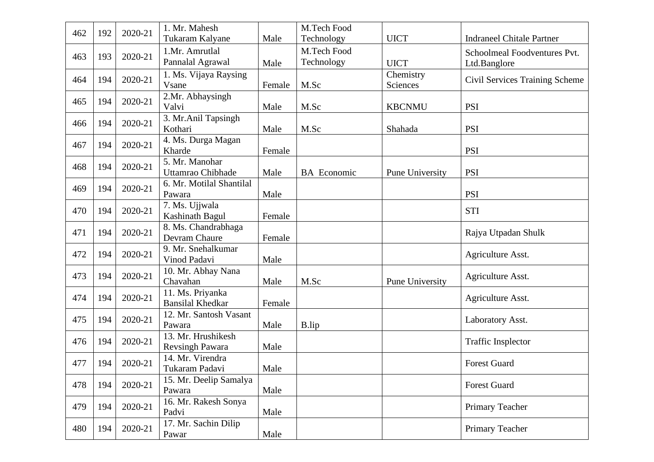| 462 | 192 | 2020-21 | 1. Mr. Mahesh                       |        | M.Tech Food        |                        |                                       |
|-----|-----|---------|-------------------------------------|--------|--------------------|------------------------|---------------------------------------|
|     |     |         | Tukaram Kalyane                     | Male   | Technology         | <b>UICT</b>            | <b>Indraneel Chitale Partner</b>      |
| 463 | 193 | 2020-21 | 1.Mr. Amrutlal                      |        | M.Tech Food        |                        | Schoolmeal Foodventures Pvt.          |
|     |     |         | Pannalal Agrawal                    | Male   | Technology         | <b>UICT</b>            | Ltd.Banglore                          |
| 464 | 194 | 2020-21 | 1. Ms. Vijaya Raysing               |        |                    | Chemistry              | <b>Civil Services Training Scheme</b> |
|     |     |         | Vsane                               | Female | M.Sc               | Sciences               |                                       |
| 465 | 194 | 2020-21 | 2.Mr. Abhaysingh                    |        |                    |                        |                                       |
|     |     |         | Valvi                               | Male   | M.Sc               | <b>KBCNMU</b>          | <b>PSI</b>                            |
| 466 | 194 | 2020-21 | 3. Mr. Anil Tapsingh                |        |                    |                        |                                       |
|     |     |         | Kothari                             | Male   | M.Sc               | Shahada                | <b>PSI</b>                            |
| 467 | 194 | 2020-21 | 4. Ms. Durga Magan                  |        |                    |                        |                                       |
|     |     |         | Kharde                              | Female |                    |                        | <b>PSI</b>                            |
| 468 | 194 | 2020-21 | 5. Mr. Manohar<br>Uttamrao Chibhade |        |                    |                        | <b>PSI</b>                            |
|     |     |         | 6. Mr. Motilal Shantilal            | Male   | <b>BA</b> Economic | <b>Pune University</b> |                                       |
| 469 | 194 | 2020-21 | Pawara                              | Male   |                    |                        | <b>PSI</b>                            |
|     |     |         | 7. Ms. Ujjwala                      |        |                    |                        |                                       |
| 470 | 194 | 2020-21 | Kashinath Bagul                     | Female |                    |                        | <b>STI</b>                            |
|     |     | 2020-21 | 8. Ms. Chandrabhaga                 |        |                    |                        |                                       |
| 471 | 194 |         | Devram Chaure                       | Female |                    |                        | Rajya Utpadan Shulk                   |
|     |     |         | 9. Mr. Snehalkumar                  |        |                    |                        |                                       |
| 472 | 194 | 2020-21 | Vinod Padavi                        | Male   |                    |                        | Agriculture Asst.                     |
|     |     |         | 10. Mr. Abhay Nana                  |        |                    |                        |                                       |
| 473 | 194 | 2020-21 | Chavahan                            | Male   | M.Sc               | Pune University        | Agriculture Asst.                     |
| 474 | 194 | 2020-21 | 11. Ms. Priyanka                    |        |                    |                        |                                       |
|     |     |         | <b>Bansilal Khedkar</b>             | Female |                    |                        | Agriculture Asst.                     |
| 475 | 194 | 2020-21 | 12. Mr. Santosh Vasant              |        |                    |                        | Laboratory Asst.                      |
|     |     |         | Pawara                              | Male   | B.lip              |                        |                                       |
| 476 | 194 | 2020-21 | 13. Mr. Hrushikesh                  |        |                    |                        | <b>Traffic Insplector</b>             |
|     |     |         | <b>Revsingh Pawara</b>              | Male   |                    |                        |                                       |
| 477 | 194 | 2020-21 | 14. Mr. Virendra                    |        |                    |                        | <b>Forest Guard</b>                   |
|     |     |         | Tukaram Padavi                      | Male   |                    |                        |                                       |
| 478 | 194 | 2020-21 | 15. Mr. Deelip Samalya              |        |                    |                        | Forest Guard                          |
|     |     |         | Pawara                              | Male   |                    |                        |                                       |
| 479 | 194 | 2020-21 | 16. Mr. Rakesh Sonya                |        |                    |                        | Primary Teacher                       |
|     |     |         | Padvi                               | Male   |                    |                        |                                       |
| 480 | 194 | 2020-21 | 17. Mr. Sachin Dilip                |        |                    |                        | Primary Teacher                       |
|     |     |         | Pawar                               | Male   |                    |                        |                                       |